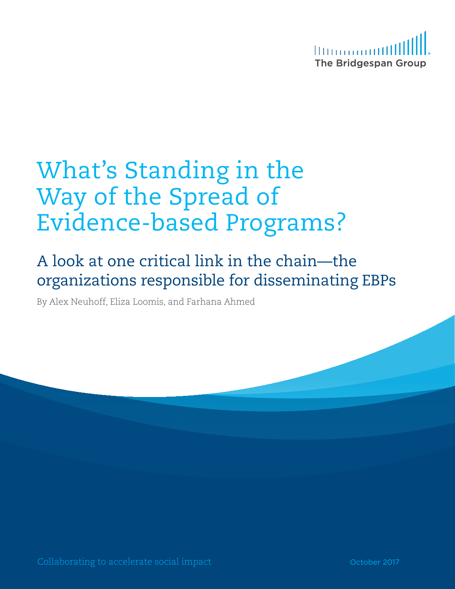

# What's Standing in the<br>Way of the Spread of<br>Evidence-based Programs?<br>A look at one critical link in the chain—the<br>organizations responsible for disseminating EBPs<br>By Alex Neuboff, Eliza Loomis, and Farhana Ahmed<br>Collaborat Way of the Spread of Evidence-based Programs?

# A look at one critical link in the chain—the organizations responsible for disseminating EBPs

By Alex Neuhoff, Eliza Loomis, and Farhana Ahmed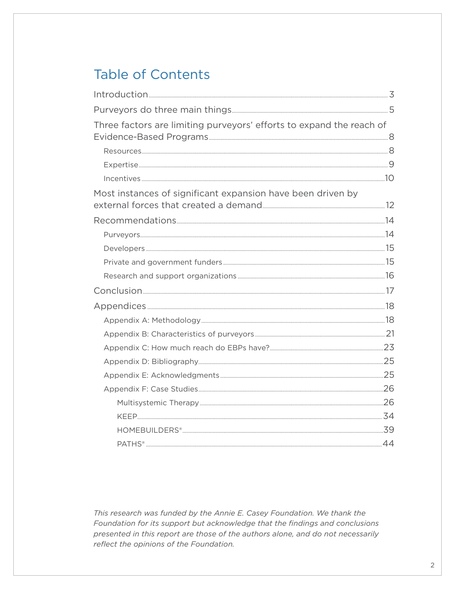# **Table of Contents**

| Three factors are limiting purveyors' efforts to expand the reach of |  |
|----------------------------------------------------------------------|--|
|                                                                      |  |
|                                                                      |  |
|                                                                      |  |
| Most instances of significant expansion have been driven by          |  |
|                                                                      |  |
|                                                                      |  |
|                                                                      |  |
|                                                                      |  |
|                                                                      |  |
|                                                                      |  |
|                                                                      |  |
|                                                                      |  |
|                                                                      |  |
|                                                                      |  |
|                                                                      |  |
|                                                                      |  |
|                                                                      |  |
|                                                                      |  |
|                                                                      |  |
|                                                                      |  |
|                                                                      |  |

This research was funded by the Annie E. Casey Foundation. We thank the Foundation for its support but acknowledge that the findings and conclusions presented in this report are those of the authors alone, and do not necessarily reflect the opinions of the Foundation.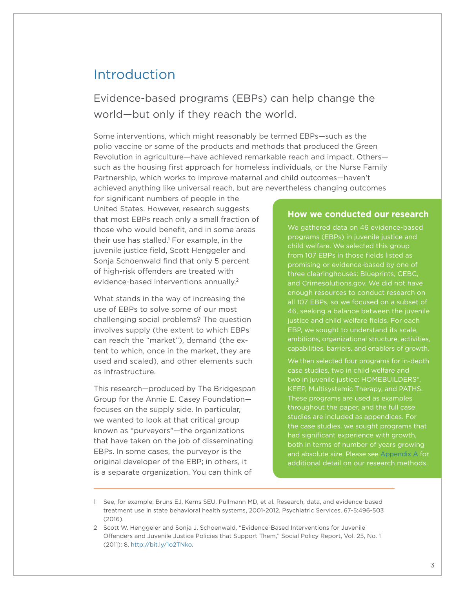# <span id="page-2-0"></span>Introduction

Evidence-based programs (EBPs) can help change the world—but only if they reach the world.

Some interventions, which might reasonably be termed EBPs—such as the polio vaccine or some of the products and methods that produced the Green Revolution in agriculture—have achieved remarkable reach and impact. Others such as the housing first approach for homeless individuals, or the Nurse Family Partnership, which works to improve maternal and child outcomes—haven't achieved anything like universal reach, but are nevertheless changing outcomes

for significant numbers of people in the United States. However, research suggests that most EBPs reach only a small fraction of those who would benefit, and in some areas their use has stalled. 1 For example, in the juvenile justice field, Scott Henggeler and Sonja Schoenwald find that only 5 percent of high-risk offenders are treated with evidence-based interventions annually.<sup>2</sup>

What stands in the way of increasing the use of EBPs to solve some of our most challenging social problems? The question involves supply (the extent to which EBPs can reach the "market"), demand (the extent to which, once in the market, they are used and scaled), and other elements such as infrastructure.

This research—produced by The Bridgespan Group for the Annie E. Casey Foundation focuses on the supply side. In particular, we wanted to look at that critical group known as "purveyors"—the organizations that have taken on the job of disseminating EBPs. In some cases, the purveyor is the original developer of the EBP; in others, it is a separate organization. You can think of

#### <span id="page-2-1"></span>**How we conducted our research**

We gathered data on 46 evidence-based programs (EBPs) in juvenile justice and child welfare. We selected this group from 107 EBPs in those fields listed as promising or evidence-based by one of three clearinghouses: Blueprints, CEBC, and Crimesolutions.gov. We did not have enough resources to conduct research on all 107 EBPs, so we focused on a subset of 46, seeking a balance between the juvenile justice and child welfare fields. For each EBP, we sought to understand its scale, ambitions, organizational structure, activities, capabilities, barriers, and enablers of growth.

We then selected four programs for in-depth case studies, two in child welfare and two in juvenile justice: HOMEBUILDERS®, KEEP, Multisystemic Therapy, and PATHS. These programs are used as examples throughout the paper, and the full case studies are included as appendices. For the case studies, we sought programs that had significant experience with growth, both in terms of number of years growing and absolute size. Please see [Appendix A](#page-17-1) for additional detail on our research methods.

<sup>1</sup> See, for example: Bruns EJ, Kerns SEU, Pullmann MD, et al. Research, data, and evidence-based treatment use in state behavioral health systems, 2001-2012. Psychiatric Services, 67-5:496-503 (2016).

<sup>2</sup> Scott W. Henggeler and Sonja J. Schoenwald, "Evidence-Based Interventions for Juvenile Offenders and Juvenile Justice Policies that Support Them," Social Policy Report, Vol. 25, No. 1 (2011): 8,<http://bit.ly/1o2TNko>.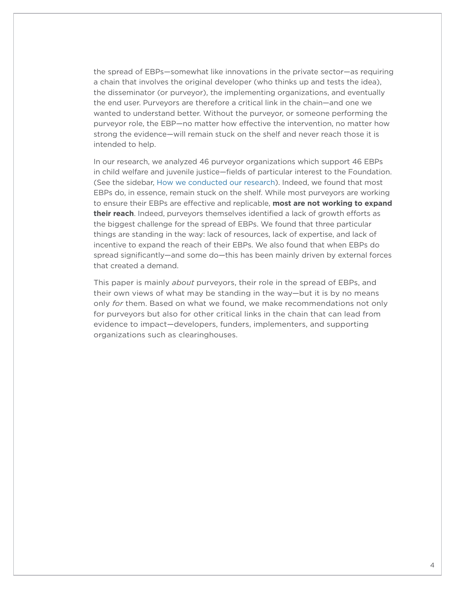the spread of EBPs—somewhat like innovations in the private sector—as requiring a chain that involves the original developer (who thinks up and tests the idea), the disseminator (or purveyor), the implementing organizations, and eventually the end user. Purveyors are therefore a critical link in the chain—and one we wanted to understand better. Without the purveyor, or someone performing the purveyor role, the EBP—no matter how effective the intervention, no matter how strong the evidence—will remain stuck on the shelf and never reach those it is intended to help.

In our research, we analyzed 46 purveyor organizations which support 46 EBPs in child welfare and juvenile justice—fields of particular interest to the Foundation. (See the sidebar, [How we conducted our research](#page-2-1)). Indeed, we found that most EBPs do, in essence, remain stuck on the shelf. While most purveyors are working to ensure their EBPs are effective and replicable, **most are not working to expand their reach**. Indeed, purveyors themselves identified a lack of growth efforts as the biggest challenge for the spread of EBPs. We found that three particular things are standing in the way: lack of resources, lack of expertise, and lack of incentive to expand the reach of their EBPs. We also found that when EBPs do spread significantly—and some do—this has been mainly driven by external forces that created a demand.

This paper is mainly *about* purveyors, their role in the spread of EBPs, and their own views of what may be standing in the way—but it is by no means only *for* them. Based on what we found, we make recommendations not only for purveyors but also for other critical links in the chain that can lead from evidence to impact—developers, funders, implementers, and supporting organizations such as clearinghouses.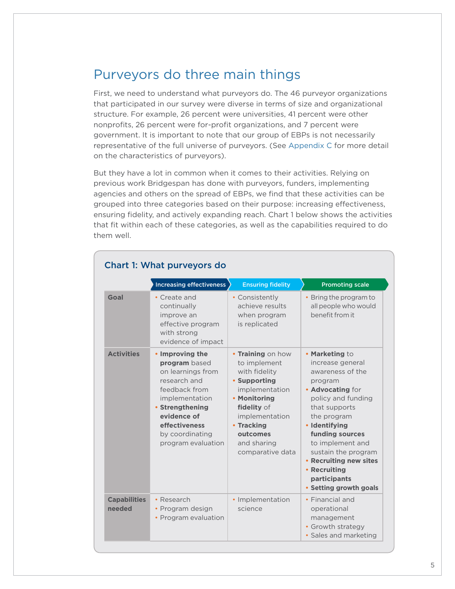# <span id="page-4-0"></span>Purveyors do three main things

First, we need to understand what purveyors do. The 46 purveyor organizations that participated in our survey were diverse in terms of size and organizational structure. For example, 26 percent were universities, 41 percent were other nonprofits, 26 percent were for-profit organizations, and 7 percent were government. It is important to note that our group of EBPs is not necessarily representative of the full universe of purveyors. (See [Appendix C](#page-22-1) for more detail on the characteristics of purveyors).

But they have a lot in common when it comes to their activities. Relying on previous work Bridgespan has done with purveyors, funders, implementing agencies and others on the spread of EBPs, we find that these activities can be grouped into three categories based on their purpose: increasing effectiveness, ensuring fidelity, and actively expanding reach. Chart 1 below shows the activities that fit within each of these categories, as well as the capabilities required to do them well.

|                               | <b>Increasing effectiveness</b>                                                                                                                                                                      | <b>Ensuring fidelity</b>                                                                                                                                                                           | <b>Promoting scale</b>                                                                                                                                                                                                                                                                                         |
|-------------------------------|------------------------------------------------------------------------------------------------------------------------------------------------------------------------------------------------------|----------------------------------------------------------------------------------------------------------------------------------------------------------------------------------------------------|----------------------------------------------------------------------------------------------------------------------------------------------------------------------------------------------------------------------------------------------------------------------------------------------------------------|
| Goal                          | • Create and<br>continually<br>improve an<br>effective program<br>with strong<br>evidence of impact                                                                                                  | • Consistently<br>achieve results<br>when program<br>is replicated                                                                                                                                 | • Bring the program to<br>all people who would<br>benefit from it                                                                                                                                                                                                                                              |
| <b>Activities</b>             | • Improving the<br>program based<br>on learnings from<br>research and<br>feedback from<br>implementation<br>• Strengthening<br>evidence of<br>effectiveness<br>by coordinating<br>program evaluation | • Training on how<br>to implement<br>with fidelity<br>• Supporting<br>implementation<br>• Monitoring<br>fidelity of<br>implementation<br>• Tracking<br>outcomes<br>and sharing<br>comparative data | • Marketing to<br>increase general<br>awareness of the<br>program<br>• Advocating for<br>policy and funding<br>that supports<br>the program<br>• Identifying<br>funding sources<br>to implement and<br>sustain the program<br>• Recruiting new sites<br>• Recruiting<br>participants<br>• Setting growth goals |
| <b>Capabilities</b><br>needed | • Research<br>• Program design<br>• Program evaluation                                                                                                                                               | · Implementation<br>science                                                                                                                                                                        | • Financial and<br>operational<br>management<br>• Growth strategy<br>· Sales and marketing                                                                                                                                                                                                                     |

#### Chart 1: What purveyors do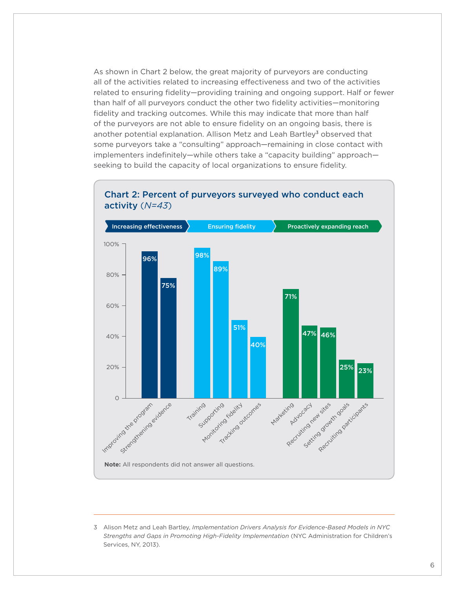As shown in Chart 2 below, the great majority of purveyors are conducting all of the activities related to increasing effectiveness and two of the activities related to ensuring fidelity—providing training and ongoing support. Half or fewer than half of all purveyors conduct the other two fidelity activities—monitoring fidelity and tracking outcomes. While this may indicate that more than half of the purveyors are not able to ensure fidelity on an ongoing basis, there is another potential explanation. Allison Metz and Leah Bartley<sup>3</sup> observed that some purveyors take a "consulting" approach—remaining in close contact with implementers indefinitely—while others take a "capacity building" approach seeking to build the capacity of local organizations to ensure fidelity.



#### Chart 2: Percent of purveyors surveyed who conduct each activity (*N=43*)

<sup>3</sup> Alison Metz and Leah Bartley, *Implementation Drivers Analysis for Evidence-Based Models in NYC Strengths and Gaps in Promoting High-Fidelity Implementation* (NYC Administration for Children's Services, NY, 2013).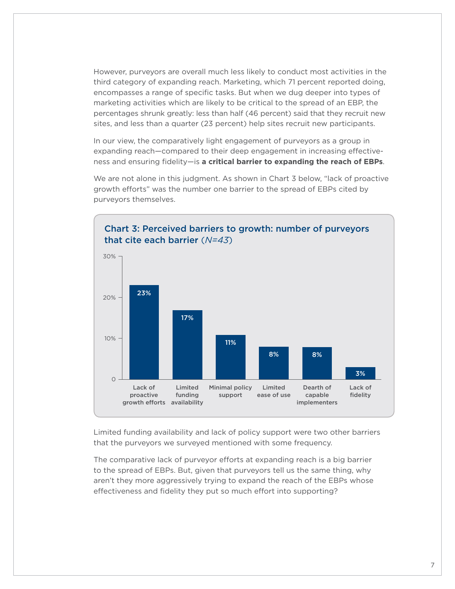However, purveyors are overall much less likely to conduct most activities in the third category of expanding reach. Marketing, which 71 percent reported doing, encompasses a range of specific tasks. But when we dug deeper into types of marketing activities which are likely to be critical to the spread of an EBP, the percentages shrunk greatly: less than half (46 percent) said that they recruit new sites, and less than a quarter (23 percent) help sites recruit new participants.

In our view, the comparatively light engagement of purveyors as a group in expanding reach—compared to their deep engagement in increasing effectiveness and ensuring fidelity—is **a critical barrier to expanding the reach of EBPs**.

We are not alone in this judgment. As shown in Chart 3 below, "lack of proactive growth efforts" was the number one barrier to the spread of EBPs cited by purveyors themselves.



Limited funding availability and lack of policy support were two other barriers that the purveyors we surveyed mentioned with some frequency.

The comparative lack of purveyor efforts at expanding reach is a big barrier to the spread of EBPs. But, given that purveyors tell us the same thing, why aren't they more aggressively trying to expand the reach of the EBPs whose effectiveness and fidelity they put so much effort into supporting?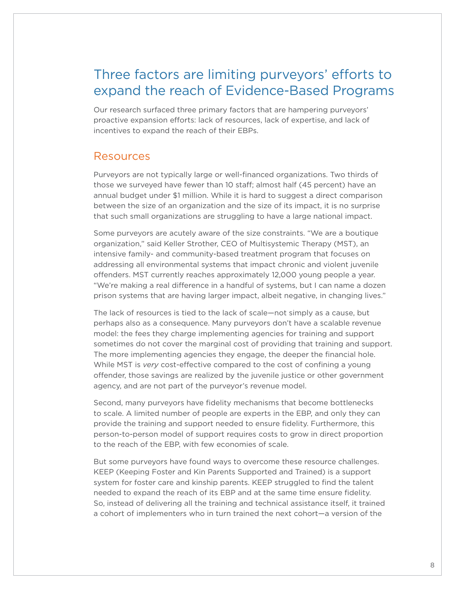# <span id="page-7-0"></span>Three factors are limiting purveyors' efforts to expand the reach of Evidence-Based Programs

Our research surfaced three primary factors that are hampering purveyors' proactive expansion efforts: lack of resources, lack of expertise, and lack of incentives to expand the reach of their EBPs.

## Resources

Purveyors are not typically large or well-financed organizations. Two thirds of those we surveyed have fewer than 10 staff; almost half (45 percent) have an annual budget under \$1 million. While it is hard to suggest a direct comparison between the size of an organization and the size of its impact, it is no surprise that such small organizations are struggling to have a large national impact.

Some purveyors are acutely aware of the size constraints. "We are a boutique organization," said Keller Strother, CEO of Multisystemic Therapy (MST), an intensive family- and community-based treatment program that focuses on addressing all environmental systems that impact chronic and violent juvenile offenders. MST currently reaches approximately 12,000 young people a year. "We're making a real difference in a handful of systems, but I can name a dozen prison systems that are having larger impact, albeit negative, in changing lives."

The lack of resources is tied to the lack of scale—not simply as a cause, but perhaps also as a consequence. Many purveyors don't have a scalable revenue model: the fees they charge implementing agencies for training and support sometimes do not cover the marginal cost of providing that training and support. The more implementing agencies they engage, the deeper the financial hole. While MST is *very* cost-effective compared to the cost of confining a young offender, those savings are realized by the juvenile justice or other government agency, and are not part of the purveyor's revenue model.

Second, many purveyors have fidelity mechanisms that become bottlenecks to scale. A limited number of people are experts in the EBP, and only they can provide the training and support needed to ensure fidelity. Furthermore, this person-to-person model of support requires costs to grow in direct proportion to the reach of the EBP, with few economies of scale.

But some purveyors have found ways to overcome these resource challenges. KEEP (Keeping Foster and Kin Parents Supported and Trained) is a support system for foster care and kinship parents. KEEP struggled to find the talent needed to expand the reach of its EBP and at the same time ensure fidelity. So, instead of delivering all the training and technical assistance itself, it trained a cohort of implementers who in turn trained the next cohort—a version of the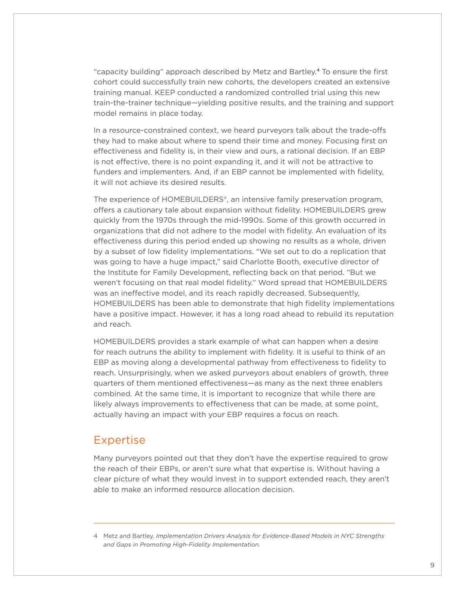<span id="page-8-0"></span>"capacity building" approach described by Metz and Bartley. 4 To ensure the first cohort could successfully train new cohorts, the developers created an extensive training manual. KEEP conducted a randomized controlled trial using this new train-the-trainer technique—yielding positive results, and the training and support model remains in place today.

In a resource-constrained context, we heard purveyors talk about the trade-offs they had to make about where to spend their time and money. Focusing first on effectiveness and fidelity is, in their view and ours, a rational decision. If an EBP is not effective, there is no point expanding it, and it will not be attractive to funders and implementers. And, if an EBP cannot be implemented with fidelity, it will not achieve its desired results.

The experience of HOMEBUILDERS®, an intensive family preservation program, offers a cautionary tale about expansion without fidelity. HOMEBUILDERS grew quickly from the 1970s through the mid-1990s. Some of this growth occurred in organizations that did not adhere to the model with fidelity. An evaluation of its effectiveness during this period ended up showing no results as a whole, driven by a subset of low fidelity implementations. "We set out to do a replication that was going to have a huge impact," said Charlotte Booth, executive director of the Institute for Family Development, reflecting back on that period. "But we weren't focusing on that real model fidelity." Word spread that HOMEBUILDERS was an ineffective model, and its reach rapidly decreased. Subsequently, HOMEBUILDERS has been able to demonstrate that high fidelity implementations have a positive impact. However, it has a long road ahead to rebuild its reputation and reach.

HOMEBUILDERS provides a stark example of what can happen when a desire for reach outruns the ability to implement with fidelity. It is useful to think of an EBP as moving along a developmental pathway from effectiveness to fidelity to reach. Unsurprisingly, when we asked purveyors about enablers of growth, three quarters of them mentioned effectiveness—as many as the next three enablers combined. At the same time, it is important to recognize that while there are likely always improvements to effectiveness that can be made, at some point, actually having an impact with your EBP requires a focus on reach.

## Expertise

Many purveyors pointed out that they don't have the expertise required to grow the reach of their EBPs, or aren't sure what that expertise is. Without having a clear picture of what they would invest in to support extended reach, they aren't able to make an informed resource allocation decision.

<sup>4</sup> Metz and Bartley, *Implementation Drivers Analysis for Evidence-Based Models in NYC Strengths and Gaps in Promoting High-Fidelity Implementation.*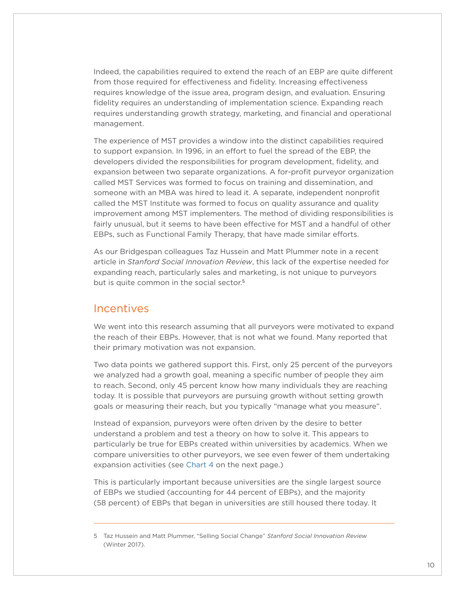<span id="page-9-0"></span>Indeed, the capabilities required to extend the reach of an EBP are quite different from those required for effectiveness and fidelity. Increasing effectiveness requires knowledge of the issue area, program design, and evaluation. Ensuring fidelity requires an understanding of implementation science. Expanding reach requires understanding growth strategy, marketing, and financial and operational management.

The experience of MST provides a window into the distinct capabilities required to support expansion. In 1996, in an effort to fuel the spread of the EBP, the developers divided the responsibilities for program development, fidelity, and expansion between two separate organizations. A for-profit purveyor organization called MST Services was formed to focus on training and dissemination, and someone with an MBA was hired to lead it. A separate, independent nonprofit called the MST Institute was formed to focus on quality assurance and quality improvement among MST implementers. The method of dividing responsibilities is fairly unusual, but it seems to have been effective for MST and a handful of other EBPs, such as Functional Family Therapy, that have made similar efforts.

As our Bridgespan colleagues Taz Hussein and Matt Plummer note in a recent article in *Stanford Social Innovation Review*, this lack of the expertise needed for expanding reach, particularly sales and marketing, is not unique to purveyors but is quite common in the social sector. 5

## Incentives

We went into this research assuming that all purveyors were motivated to expand the reach of their EBPs. However, that is not what we found. Many reported that their primary motivation was not expansion.

Two data points we gathered support this. First, only 25 percent of the purveyors we analyzed had a growth goal, meaning a specific number of people they aim to reach. Second, only 45 percent know how many individuals they are reaching today. It is possible that purveyors are pursuing growth without setting growth goals or measuring their reach, but you typically "manage what you measure".

Instead of expansion, purveyors were often driven by the desire to better understand a problem and test a theory on how to solve it. This appears to particularly be true for EBPs created within universities by academics. When we compare universities to other purveyors, we see even fewer of them undertaking expansion activities (see [Chart 4](#page-10-0) on the next page.)

This is particularly important because universities are the single largest source of EBPs we studied (accounting for 44 percent of EBPs), and the majority (58 percent) of EBPs that began in universities are still housed there today. It

<sup>5</sup> Taz Hussein and Matt Plummer, "Selling Social Change" *Stanford Social Innovation Review* (Winter 2017).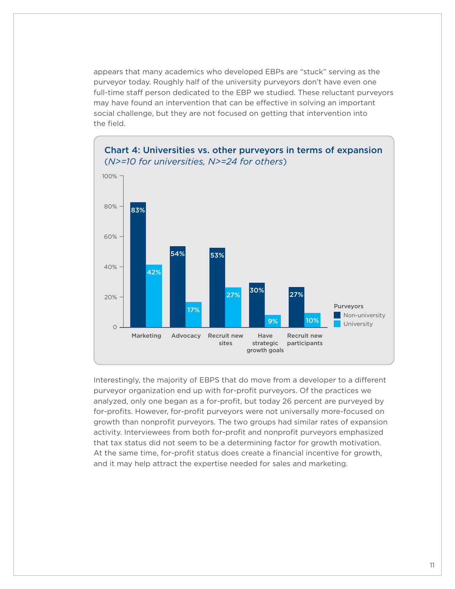appears that many academics who developed EBPs are "stuck" serving as the purveyor today. Roughly half of the university purveyors don't have even one full-time staff person dedicated to the EBP we studied. These reluctant purveyors may have found an intervention that can be effective in solving an important social challenge, but they are not focused on getting that intervention into the field.



### <span id="page-10-0"></span>Chart 4: Universities vs. other purveyors in terms of expansion (*N>=10 for universities, N>=24 for others*)

Interestingly, the majority of EBPS that do move from a developer to a different purveyor organization end up with for-profit purveyors. Of the practices we analyzed, only one began as a for-profit, but today 26 percent are purveyed by for-profits. However, for-profit purveyors were not universally more-focused on growth than nonprofit purveyors. The two groups had similar rates of expansion activity. Interviewees from both for-profit and nonprofit purveyors emphasized that tax status did not seem to be a determining factor for growth motivation. At the same time, for-profit status does create a financial incentive for growth, and it may help attract the expertise needed for sales and marketing.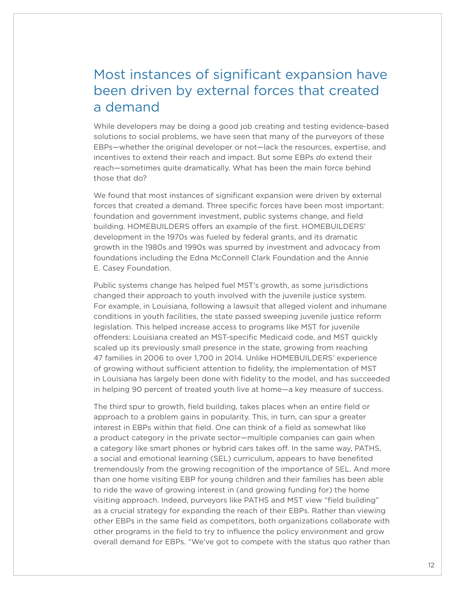# <span id="page-11-0"></span>Most instances of significant expansion have been driven by external forces that created a demand

While developers may be doing a good job creating and testing evidence-based solutions to social problems, we have seen that many of the purveyors of these EBPs—whether the original developer or not—lack the resources, expertise, and incentives to extend their reach and impact. But some EBPs *do* extend their reach—sometimes quite dramatically. What has been the main force behind those that do?

We found that most instances of significant expansion were driven by external forces that created a demand. Three specific forces have been most important: foundation and government investment, public systems change, and field building. HOMEBUILDERS offers an example of the first. HOMEBUILDERS' development in the 1970s was fueled by federal grants, and its dramatic growth in the 1980s and 1990s was spurred by investment and advocacy from foundations including the Edna McConnell Clark Foundation and the Annie E. Casey Foundation.

Public systems change has helped fuel MST's growth, as some jurisdictions changed their approach to youth involved with the juvenile justice system. For example, in Louisiana, following a lawsuit that alleged violent and inhumane conditions in youth facilities, the state passed sweeping juvenile justice reform legislation. This helped increase access to programs like MST for juvenile offenders: Louisiana created an MST-specific Medicaid code, and MST quickly scaled up its previously small presence in the state, growing from reaching 47 families in 2006 to over 1,700 in 2014. Unlike HOMEBUILDERS' experience of growing without sufficient attention to fidelity, the implementation of MST in Louisiana has largely been done with fidelity to the model, and has succeeded in helping 90 percent of treated youth live at home—a key measure of success.

The third spur to growth, field building, takes places when an entire field or approach to a problem gains in popularity. This, in turn, can spur a greater interest in EBPs within that field. One can think of a field as somewhat like a product category in the private sector—multiple companies can gain when a category like smart phones or hybrid cars takes off. In the same way, PATHS, a social and emotional learning (SEL) curriculum, appears to have benefited tremendously from the growing recognition of the importance of SEL. And more than one home visiting EBP for young children and their families has been able to ride the wave of growing interest in (and growing funding for) the home visiting approach. Indeed, purveyors like PATHS and MST view "field building" as a crucial strategy for expanding the reach of their EBPs. Rather than viewing other EBPs in the same field as competitors, both organizations collaborate with other programs in the field to try to influence the policy environment and grow overall demand for EBPs. "We've got to compete with the status quo rather than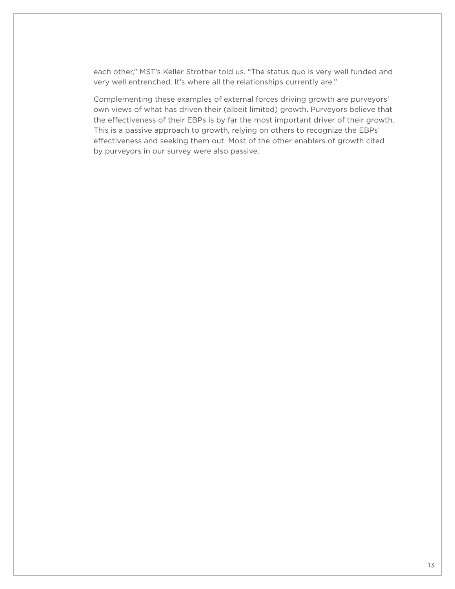each other," MST's Keller Strother told us. "The status quo is very well funded and very well entrenched. It's where all the relationships currently are."

Complementing these examples of external forces driving growth are purveyors' own views of what has driven their (albeit limited) growth. Purveyors believe that the effectiveness of their EBPs is by far the most important driver of their growth. This is a passive approach to growth, relying on others to recognize the EBPs' effectiveness and seeking them out. Most of the other enablers of growth cited by purveyors in our survey were also passive.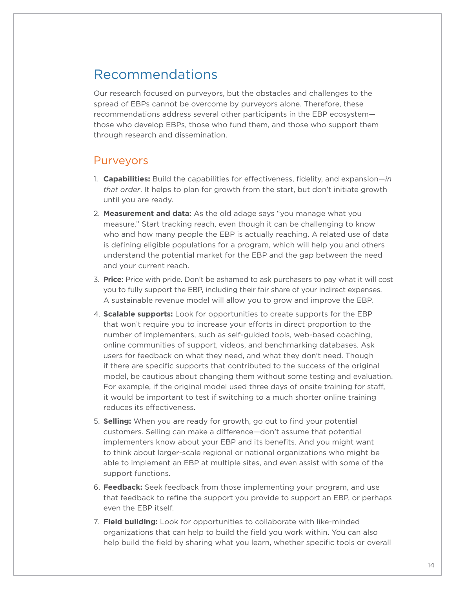# <span id="page-13-0"></span>Recommendations

Our research focused on purveyors, but the obstacles and challenges to the spread of EBPs cannot be overcome by purveyors alone. Therefore, these recommendations address several other participants in the EBP ecosystem those who develop EBPs, those who fund them, and those who support them through research and dissemination.

## **Purveyors**

- 1. **Capabilities:** Build the capabilities for effectiveness, fidelity, and expansion—*in that order*. It helps to plan for growth from the start, but don't initiate growth until you are ready.
- 2. **Measurement and data:** As the old adage says "you manage what you measure." Start tracking reach, even though it can be challenging to know who and how many people the EBP is actually reaching. A related use of data is defining eligible populations for a program, which will help you and others understand the potential market for the EBP and the gap between the need and your current reach.
- 3. **Price:** Price with pride. Don't be ashamed to ask purchasers to pay what it will cost you to fully support the EBP, including their fair share of your indirect expenses. A sustainable revenue model will allow you to grow and improve the EBP.
- 4. **Scalable supports:** Look for opportunities to create supports for the EBP that won't require you to increase your efforts in direct proportion to the number of implementers, such as self-guided tools, web-based coaching, online communities of support, videos, and benchmarking databases. Ask users for feedback on what they need, and what they don't need. Though if there are specific supports that contributed to the success of the original model, be cautious about changing them without some testing and evaluation. For example, if the original model used three days of onsite training for staff, it would be important to test if switching to a much shorter online training reduces its effectiveness.
- 5. **Selling:** When you are ready for growth, go out to find your potential customers. Selling can make a difference—don't assume that potential implementers know about your EBP and its benefits. And you might want to think about larger-scale regional or national organizations who might be able to implement an EBP at multiple sites, and even assist with some of the support functions.
- 6. **Feedback:** Seek feedback from those implementing your program, and use that feedback to refine the support you provide to support an EBP, or perhaps even the EBP itself.
- 7. **Field building:** Look for opportunities to collaborate with like-minded organizations that can help to build the field you work within. You can also help build the field by sharing what you learn, whether specific tools or overall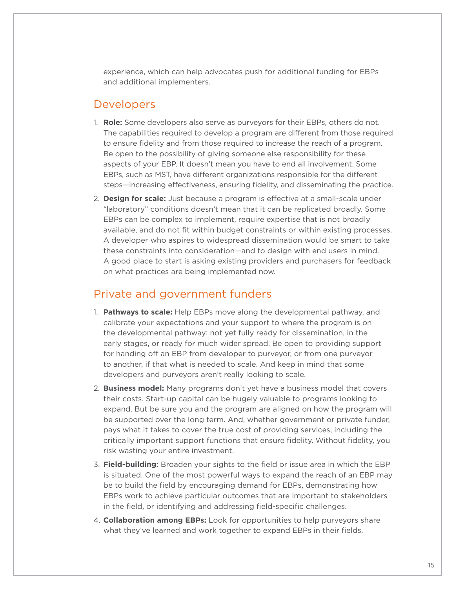<span id="page-14-0"></span>experience, which can help advocates push for additional funding for EBPs and additional implementers.

## Developers

- 1. **Role:** Some developers also serve as purveyors for their EBPs, others do not. The capabilities required to develop a program are different from those required to ensure fidelity and from those required to increase the reach of a program. Be open to the possibility of giving someone else responsibility for these aspects of your EBP. It doesn't mean you have to end all involvement. Some EBPs, such as MST, have different organizations responsible for the different steps—increasing effectiveness, ensuring fidelity, and disseminating the practice.
- 2. **Design for scale:** Just because a program is effective at a small-scale under "laboratory" conditions doesn't mean that it can be replicated broadly. Some EBPs can be complex to implement, require expertise that is not broadly available, and do not fit within budget constraints or within existing processes. A developer who aspires to widespread dissemination would be smart to take these constraints into consideration—and to design with end users in mind. A good place to start is asking existing providers and purchasers for feedback on what practices are being implemented now.

## Private and government funders

- 1. **Pathways to scale:** Help EBPs move along the developmental pathway, and calibrate your expectations and your support to where the program is on the developmental pathway: not yet fully ready for dissemination, in the early stages, or ready for much wider spread. Be open to providing support for handing off an EBP from developer to purveyor, or from one purveyor to another, if that what is needed to scale. And keep in mind that some developers and purveyors aren't really looking to scale.
- 2. **Business model:** Many programs don't yet have a business model that covers their costs. Start-up capital can be hugely valuable to programs looking to expand. But be sure you and the program are aligned on how the program will be supported over the long term. And, whether government or private funder, pays what it takes to cover the true cost of providing services, including the critically important support functions that ensure fidelity. Without fidelity, you risk wasting your entire investment.
- 3. **Field-building:** Broaden your sights to the field or issue area in which the EBP is situated. One of the most powerful ways to expand the reach of an EBP may be to build the field by encouraging demand for EBPs, demonstrating how EBPs work to achieve particular outcomes that are important to stakeholders in the field, or identifying and addressing field-specific challenges.
- 4. **Collaboration among EBPs:** Look for opportunities to help purveyors share what they've learned and work together to expand EBPs in their fields.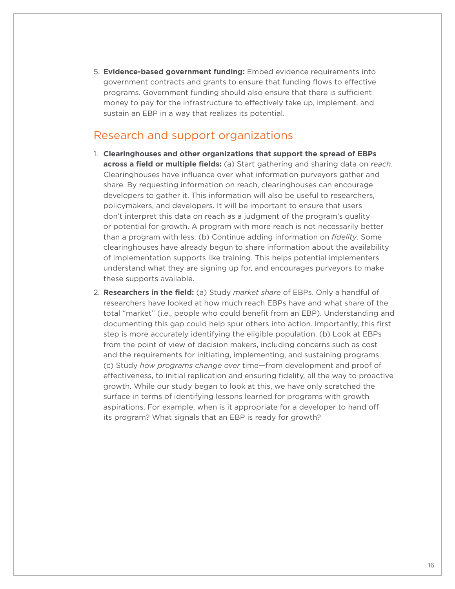<span id="page-15-0"></span>5. **Evidence-based government funding:** Embed evidence requirements into government contracts and grants to ensure that funding flows to effective programs. Government funding should also ensure that there is sufficient money to pay for the infrastructure to effectively take up, implement, and sustain an EBP in a way that realizes its potential.

## Research and support organizations

- 1. **Clearinghouses and other organizations that support the spread of EBPs across a field or multiple fields:** (a) Start gathering and sharing data on *reach*. Clearinghouses have influence over what information purveyors gather and share. By requesting information on reach, clearinghouses can encourage developers to gather it. This information will also be useful to researchers, policymakers, and developers. It will be important to ensure that users don't interpret this data on reach as a judgment of the program's quality or potential for growth. A program with more reach is not necessarily better than a program with less. (b) Continue adding information on *fidelity*. Some clearinghouses have already begun to share information about the availability of implementation supports like training. This helps potential implementers understand what they are signing up for, and encourages purveyors to make these supports available.
- 2. **Researchers in the field:** (a) Study *market share* of EBPs. Only a handful of researchers have looked at how much reach EBPs have and what share of the total "market" (i.e., people who could benefit from an EBP). Understanding and documenting this gap could help spur others into action. Importantly, this first step is more accurately identifying the eligible population. (b) Look at EBPs from the point of view of decision makers, including concerns such as cost and the requirements for initiating, implementing, and sustaining programs. (c) Study *how programs change over* time—from development and proof of effectiveness, to initial replication and ensuring fidelity, all the way to proactive growth. While our study began to look at this, we have only scratched the surface in terms of identifying lessons learned for programs with growth aspirations. For example, when is it appropriate for a developer to hand off its program? What signals that an EBP is ready for growth?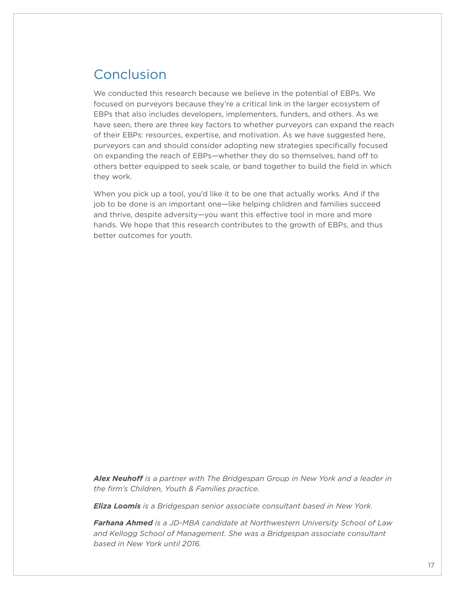# <span id="page-16-0"></span>Conclusion

We conducted this research because we believe in the potential of EBPs. We focused on purveyors because they're a critical link in the larger ecosystem of EBPs that also includes developers, implementers, funders, and others. As we have seen, there are three key factors to whether purveyors can expand the reach of their EBPs: resources, expertise, and motivation. As we have suggested here, purveyors can and should consider adopting new strategies specifically focused on expanding the reach of EBPs—whether they do so themselves, hand off to others better equipped to seek scale, or band together to build the field in which they work.

When you pick up a tool, you'd like it to be one that actually works. And if the job to be done is an important one—like helping children and families succeed and thrive, despite adversity—you want this effective tool in more and more hands. We hope that this research contributes to the growth of EBPs, and thus better outcomes for youth.

*Alex Neuhoff is a partner with The Bridgespan Group in New York and a leader in the firm's Children, Youth & Families practice.* 

*Eliza Loomis is a Bridgespan senior associate consultant based in New York.*

*Farhana Ahmed is a JD-MBA candidate at Northwestern University School of Law and Kellogg School of Management. She was a Bridgespan associate consultant based in New York until 2016.*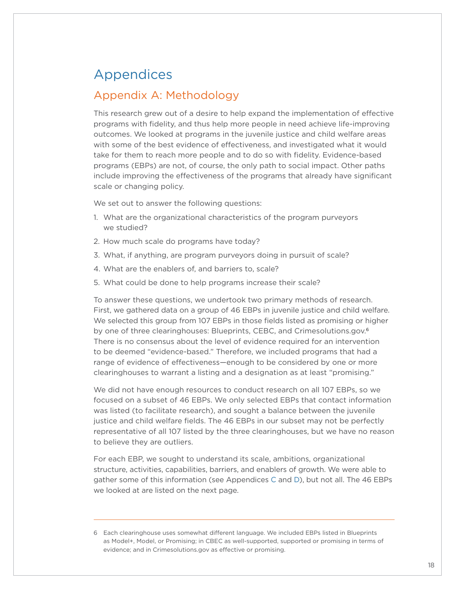# <span id="page-17-0"></span>Appendices

## <span id="page-17-1"></span>Appendix A: Methodology

This research grew out of a desire to help expand the implementation of effective programs with fidelity, and thus help more people in need achieve life-improving outcomes. We looked at programs in the juvenile justice and child welfare areas with some of the best evidence of effectiveness, and investigated what it would take for them to reach more people and to do so with fidelity. Evidence-based programs (EBPs) are not, of course, the only path to social impact. Other paths include improving the effectiveness of the programs that already have significant scale or changing policy.

We set out to answer the following questions:

- 1. What are the organizational characteristics of the program purveyors we studied?
- 2. How much scale do programs have today?
- 3. What, if anything, are program purveyors doing in pursuit of scale?
- 4. What are the enablers of, and barriers to, scale?
- 5. What could be done to help programs increase their scale?

To answer these questions, we undertook two primary methods of research. First, we gathered data on a group of 46 EBPs in juvenile justice and child welfare. We selected this group from 107 EBPs in those fields listed as promising or higher by one of three clearinghouses: Blueprints, CEBC, and Crimesolutions.gov.<sup>6</sup> There is no consensus about the level of evidence required for an intervention to be deemed "evidence-based." Therefore, we included programs that had a range of evidence of effectiveness—enough to be considered by one or more clearinghouses to warrant a listing and a designation as at least "promising."

We did not have enough resources to conduct research on all 107 EBPs, so we focused on a subset of 46 EBPs. We only selected EBPs that contact information was listed (to facilitate research), and sought a balance between the juvenile justice and child welfare fields. The 46 EBPs in our subset may not be perfectly representative of all 107 listed by the three clearinghouses, but we have no reason to believe they are outliers.

For each EBP, we sought to understand its scale, ambitions, organizational structure, activities, capabilities, barriers, and enablers of growth. We were able to gather some of this information (see Appendices [C](#page-22-1) and [D\)](#page-24-1), but not all. The 46 EBPs we looked at are listed on the next page.

<sup>6</sup> Each clearinghouse uses somewhat different language. We included EBPs listed in Blueprints as Model+, Model, or Promising; in CBEC as well-supported, supported or promising in terms of evidence; and in Crimesolutions.gov as effective or promising.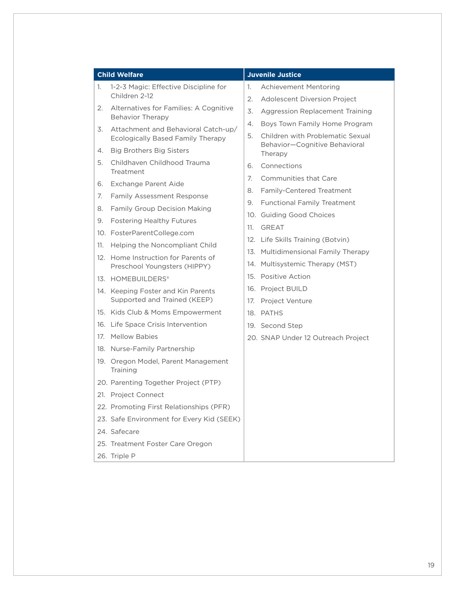|     | <b>Child Welfare</b>                                                |     | <b>Juvenile Justice</b>                  |
|-----|---------------------------------------------------------------------|-----|------------------------------------------|
| 1.  | 1-2-3 Magic: Effective Discipline for                               | 1.  | Achievement Mentoring                    |
|     | Children 2-12                                                       | 2.  | Adolescent Diversion Project             |
| 2.  | Alternatives for Families: A Cognitive<br>Behavior Therapy          | 3.  | Aggression Replacement Training          |
| 3.  | Attachment and Behavioral Catch-up/                                 | 4.  | Boys Town Family Home Program            |
|     | Ecologically Based Family Therapy                                   |     | Children with Problematic Sexual         |
| 4.  | <b>Big Brothers Big Sisters</b>                                     |     | Behavior-Cognitive Behavioral<br>Therapy |
| 5.  | Childhaven Childhood Trauma<br>Treatment                            | 6.  | Connections                              |
| 6.  | <b>Exchange Parent Aide</b>                                         | 7.  | Communities that Care                    |
| 7.  | <b>Family Assessment Response</b>                                   | 8.  | Family-Centered Treatment                |
| 8.  | Family Group Decision Making                                        | 9.  | <b>Functional Family Treatment</b>       |
| 9.  | <b>Fostering Healthy Futures</b>                                    |     | 10. Guiding Good Choices                 |
|     | 10. FosterParentCollege.com                                         | 11. | <b>GREAT</b>                             |
| 11. | Helping the Noncompliant Child                                      |     | 12. Life Skills Training (Botvin)        |
|     | 12. Home Instruction for Parents of<br>Preschool Youngsters (HIPPY) |     | 13. Multidimensional Family Therapy      |
|     |                                                                     |     | 14. Multisystemic Therapy (MST)          |
|     | 13. HOMEBUILDERS®                                                   |     | 15. Positive Action                      |
|     | 14. Keeping Foster and Kin Parents                                  |     | 16. Project BUILD                        |
|     | Supported and Trained (KEEP)                                        |     | 17. Project Venture                      |
|     | 15. Kids Club & Moms Empowerment                                    |     | 18. PATHS                                |
|     | 16. Life Space Crisis Intervention                                  |     | 19. Second Step                          |
| 17. | <b>Mellow Babies</b>                                                |     | 20. SNAP Under 12 Outreach Project       |
|     | 18. Nurse-Family Partnership                                        |     |                                          |
|     | 19. Oregon Model, Parent Management<br>Training                     |     |                                          |
|     | 20. Parenting Together Project (PTP)                                |     |                                          |
|     | 21. Project Connect                                                 |     |                                          |
|     | 22. Promoting First Relationships (PFR)                             |     |                                          |
|     | 23. Safe Environment for Every Kid (SEEK)                           |     |                                          |
|     | 24. Safecare                                                        |     |                                          |
|     | 25. Treatment Foster Care Oregon                                    |     |                                          |
|     | 26. Triple P                                                        |     |                                          |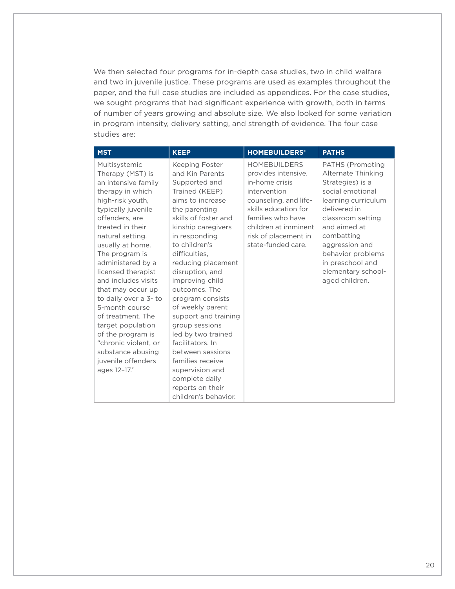We then selected four programs for in-depth case studies, two in child welfare and two in juvenile justice. These programs are used as examples throughout the paper, and the full case studies are included as appendices. For the case studies, we sought programs that had significant experience with growth, both in terms of number of years growing and absolute size. We also looked for some variation in program intensity, delivery setting, and strength of evidence. The four case studies are:

| <b>MST</b>                                                                                                                                                                                                                                                                                                                                                                                                                                                                                                 | <b>KEEP</b>                                                                                                                                                                                                                                                                                                                                                                                                                                                                                                                                  | <b>HOMEBUILDERS®</b>                                                                                                                                                                                                     | <b>PATHS</b>                                                                                                                                                                                                                                                                |
|------------------------------------------------------------------------------------------------------------------------------------------------------------------------------------------------------------------------------------------------------------------------------------------------------------------------------------------------------------------------------------------------------------------------------------------------------------------------------------------------------------|----------------------------------------------------------------------------------------------------------------------------------------------------------------------------------------------------------------------------------------------------------------------------------------------------------------------------------------------------------------------------------------------------------------------------------------------------------------------------------------------------------------------------------------------|--------------------------------------------------------------------------------------------------------------------------------------------------------------------------------------------------------------------------|-----------------------------------------------------------------------------------------------------------------------------------------------------------------------------------------------------------------------------------------------------------------------------|
| Multisystemic<br>Therapy (MST) is<br>an intensive family<br>therapy in which<br>high-risk youth,<br>typically juvenile<br>offenders, are<br>treated in their<br>natural setting,<br>usually at home.<br>The program is<br>administered by a<br>licensed therapist<br>and includes visits<br>that may occur up<br>to daily over a 3- to<br>5-month course<br>of treatment. The<br>target population<br>of the program is<br>"chronic violent, or<br>substance abusing<br>juvenile offenders<br>ages 12-17." | Keeping Foster<br>and Kin Parents<br>Supported and<br>Trained (KEEP)<br>aims to increase<br>the parenting<br>skills of foster and<br>kinship caregivers<br>in responding<br>to children's<br>difficulties.<br>reducing placement<br>disruption, and<br>improving child<br>outcomes. The<br>program consists<br>of weekly parent<br>support and training<br>group sessions<br>led by two trained<br>facilitators. In<br>between sessions<br>families receive<br>supervision and<br>complete daily<br>reports on their<br>children's behavior. | <b>HOMEBUILDERS</b><br>provides intensive.<br>in-home crisis<br>intervention<br>counseling, and life-<br>skills education for<br>families who have<br>children at imminent<br>risk of placement in<br>state-funded care. | PATHS (Promoting<br>Alternate Thinking<br>Strategies) is a<br>social emotional<br>learning curriculum<br>delivered in<br>classroom setting<br>and aimed at<br>combatting<br>aggression and<br>behavior problems<br>in preschool and<br>elementary school-<br>aged children. |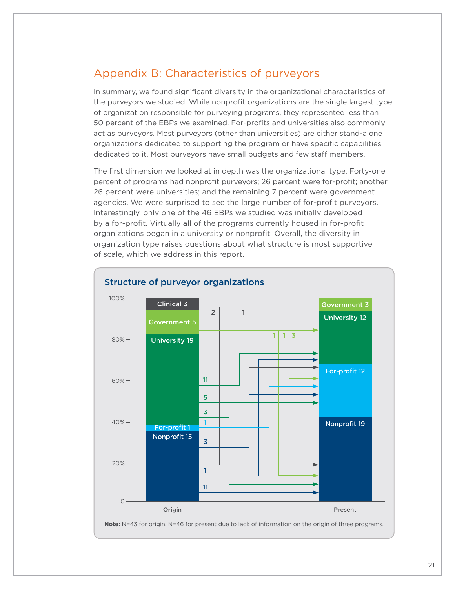## <span id="page-20-0"></span>Appendix B: Characteristics of purveyors

In summary, we found significant diversity in the organizational characteristics of the purveyors we studied. While nonprofit organizations are the single largest type of organization responsible for purveying programs, they represented less than 50 percent of the EBPs we examined. For-profits and universities also commonly act as purveyors. Most purveyors (other than universities) are either stand-alone organizations dedicated to supporting the program or have specific capabilities dedicated to it. Most purveyors have small budgets and few staff members.

The first dimension we looked at in depth was the organizational type. Forty-one percent of programs had nonprofit purveyors; 26 percent were for-profit; another 26 percent were universities; and the remaining 7 percent were government agencies. We were surprised to see the large number of for-profit purveyors. Interestingly, only one of the 46 EBPs we studied was initially developed by a for-profit. Virtually all of the programs currently housed in for-profit organizations began in a university or nonprofit. Overall, the diversity in organization type raises questions about what structure is most supportive of scale, which we address in this report.

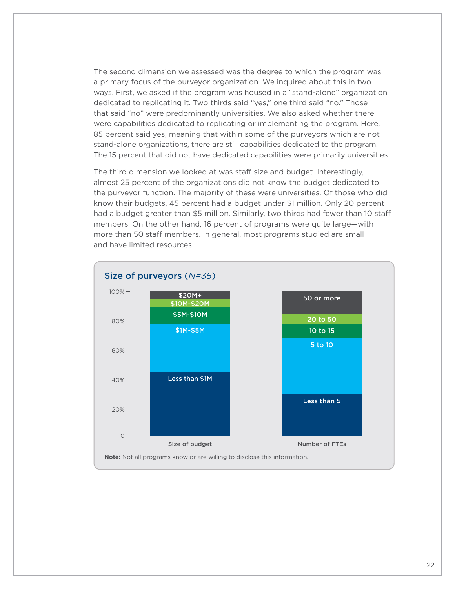The second dimension we assessed was the degree to which the program was a primary focus of the purveyor organization. We inquired about this in two ways. First, we asked if the program was housed in a "stand-alone" organization dedicated to replicating it. Two thirds said "yes," one third said "no." Those that said "no" were predominantly universities. We also asked whether there were capabilities dedicated to replicating or implementing the program. Here, 85 percent said yes, meaning that within some of the purveyors which are not stand-alone organizations, there are still capabilities dedicated to the program. The 15 percent that did not have dedicated capabilities were primarily universities.

The third dimension we looked at was staff size and budget. Interestingly, almost 25 percent of the organizations did not know the budget dedicated to the purveyor function. The majority of these were universities. Of those who did know their budgets, 45 percent had a budget under \$1 million. Only 20 percent had a budget greater than \$5 million. Similarly, two thirds had fewer than 10 staff members. On the other hand, 16 percent of programs were quite large—with more than 50 staff members. In general, most programs studied are small and have limited resources.

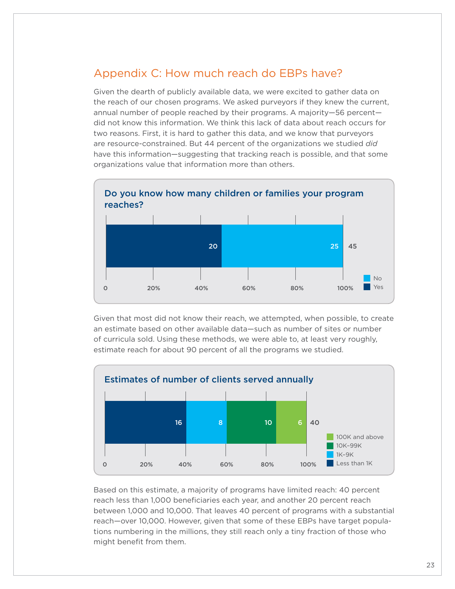## <span id="page-22-1"></span><span id="page-22-0"></span>Appendix C: How much reach do EBPs have?

Given the dearth of publicly available data, we were excited to gather data on the reach of our chosen programs. We asked purveyors if they knew the current, annual number of people reached by their programs. A majority—56 percent did not know this information. We think this lack of data about reach occurs for two reasons. First, it is hard to gather this data, and we know that purveyors are resource-constrained. But 44 percent of the organizations we studied *did* have this information—suggesting that tracking reach is possible, and that some organizations value that information more than others.



Given that most did not know their reach, we attempted, when possible, to create an estimate based on other available data—such as number of sites or number of curricula sold. Using these methods, we were able to, at least very roughly, estimate reach for about 90 percent of all the programs we studied.



Based on this estimate, a majority of programs have limited reach: 40 percent reach less than 1,000 beneficiaries each year, and another 20 percent reach between 1,000 and 10,000. That leaves 40 percent of programs with a substantial reach—over 10,000. However, given that some of these EBPs have target populations numbering in the millions, they still reach only a tiny fraction of those who might benefit from them.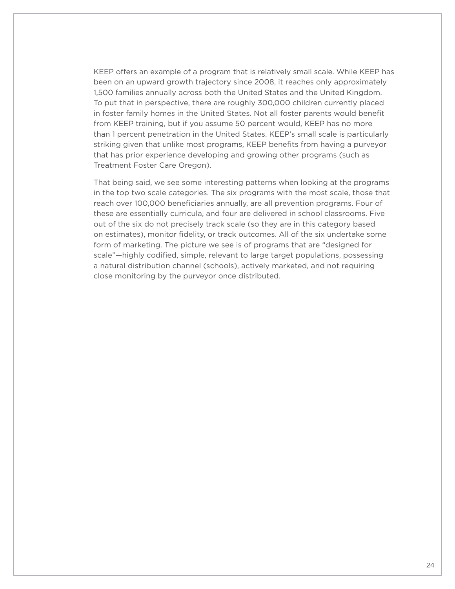KEEP offers an example of a program that is relatively small scale. While KEEP has been on an upward growth trajectory since 2008, it reaches only approximately 1,500 families annually across both the United States and the United Kingdom. To put that in perspective, there are roughly 300,000 children currently placed in foster family homes in the United States. Not all foster parents would benefit from KEEP training, but if you assume 50 percent would, KEEP has no more than 1 percent penetration in the United States. KEEP's small scale is particularly striking given that unlike most programs, KEEP benefits from having a purveyor that has prior experience developing and growing other programs (such as Treatment Foster Care Oregon).

That being said, we see some interesting patterns when looking at the programs in the top two scale categories. The six programs with the most scale, those that reach over 100,000 beneficiaries annually, are all prevention programs. Four of these are essentially curricula, and four are delivered in school classrooms. Five out of the six do not precisely track scale (so they are in this category based on estimates), monitor fidelity, or track outcomes. All of the six undertake some form of marketing. The picture we see is of programs that are "designed for scale"—highly codified, simple, relevant to large target populations, possessing a natural distribution channel (schools), actively marketed, and not requiring close monitoring by the purveyor once distributed.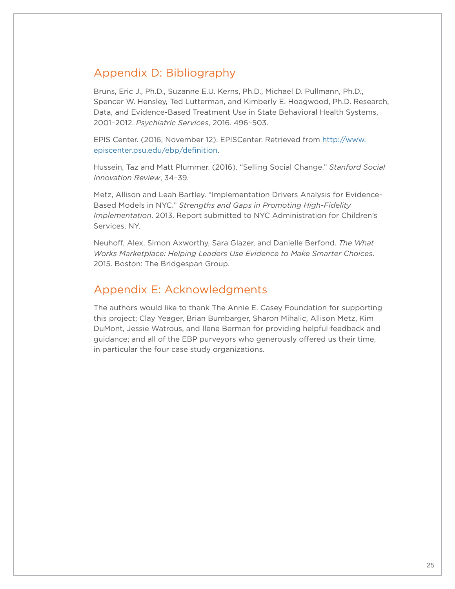## <span id="page-24-1"></span><span id="page-24-0"></span>Appendix D: Bibliography

Bruns, Eric J., Ph.D., Suzanne E.U. Kerns, Ph.D., Michael D. Pullmann, Ph.D., Spencer W. Hensley, Ted Lutterman, and Kimberly E. Hoagwood, Ph.D. Research, Data, and Evidence-Based Treatment Use in State Behavioral Health Systems, 2001–2012. *Psychiatric Services*, 2016. 496–503.

EPIS Center. (2016, November 12). EPISCenter. Retrieved from [http://www.](http://www.episcenter.psu.edu/ebp/definition) [episcenter.psu.edu/ebp/definition.](http://www.episcenter.psu.edu/ebp/definition)

Hussein, Taz and Matt Plummer. (2016). "Selling Social Change." *Stanford Social Innovation Review*, 34–39.

Metz, Allison and Leah Bartley. "Implementation Drivers Analysis for Evidence-Based Models in NYC." *Strengths and Gaps in Promoting High-Fidelity Implementation*. 2013. Report submitted to NYC Administration for Children's Services, NY.

Neuhoff, Alex, Simon Axworthy, Sara Glazer, and Danielle Berfond. *The What Works Marketplace: Helping Leaders Use Evidence to Make Smarter Choices*. 2015. Boston: The Bridgespan Group.

## Appendix E: Acknowledgments

The authors would like to thank The Annie E. Casey Foundation for supporting this project; Clay Yeager, Brian Bumbarger, Sharon Mihalic, Allison Metz, Kim DuMont, Jessie Watrous, and Ilene Berman for providing helpful feedback and guidance; and all of the EBP purveyors who generously offered us their time, in particular the four case study organizations.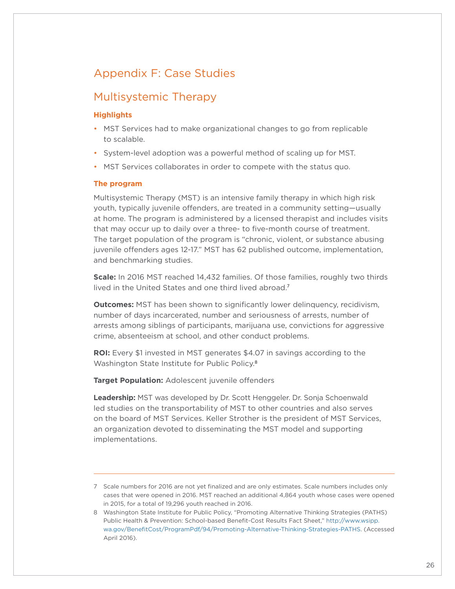## <span id="page-25-0"></span>Appendix F: Case Studies

## Multisystemic Therapy

#### **Highlights**

- MST Services had to make organizational changes to go from replicable to scalable.
- System-level adoption was a powerful method of scaling up for MST.
- MST Services collaborates in order to compete with the status quo.

#### **The program**

Multisystemic Therapy (MST) is an intensive family therapy in which high risk youth, typically juvenile offenders, are treated in a community setting—usually at home. The program is administered by a licensed therapist and includes visits that may occur up to daily over a three- to five-month course of treatment. The target population of the program is "chronic, violent, or substance abusing juvenile offenders ages 12-17." MST has 62 published outcome, implementation, and benchmarking studies.

**Scale:** In 2016 MST reached 14,432 families. Of those families, roughly two thirds lived in the United States and one third lived abroad. 7

**Outcomes:** MST has been shown to significantly lower delinguency, recidivism, number of days incarcerated, number and seriousness of arrests, number of arrests among siblings of participants, marijuana use, convictions for aggressive crime, absenteeism at school, and other conduct problems.

**ROI:** Every \$1 invested in MST generates \$4.07 in savings according to the Washington State Institute for Public Policy. 8

**Target Population:** Adolescent juvenile offenders

**Leadership:** MST was developed by Dr. Scott Henggeler. Dr. Sonja Schoenwald led studies on the transportability of MST to other countries and also serves on the board of MST Services. Keller Strother is the president of MST Services, an organization devoted to disseminating the MST model and supporting implementations.

<sup>7</sup> Scale numbers for 2016 are not yet finalized and are only estimates. Scale numbers includes only cases that were opened in 2016. MST reached an additional 4,864 youth whose cases were opened in 2015, for a total of 19,296 youth reached in 2016.

<sup>8</sup> Washington State Institute for Public Policy, "Promoting Alternative Thinking Strategies (PATHS) Public Health & Prevention: School-based Benefit-Cost Results Fact Sheet," [http://www.wsipp.](http://www.wsipp.wa.gov/BenefitCost/ProgramPdf/94/Promoting-Alternative-Thinking-Strategies-PATHS) [wa.gov/BenefitCost/ProgramPdf/94/Promoting-Alternative-Thinking-Strategies-PATHS](http://www.wsipp.wa.gov/BenefitCost/ProgramPdf/94/Promoting-Alternative-Thinking-Strategies-PATHS). (Accessed April 2016).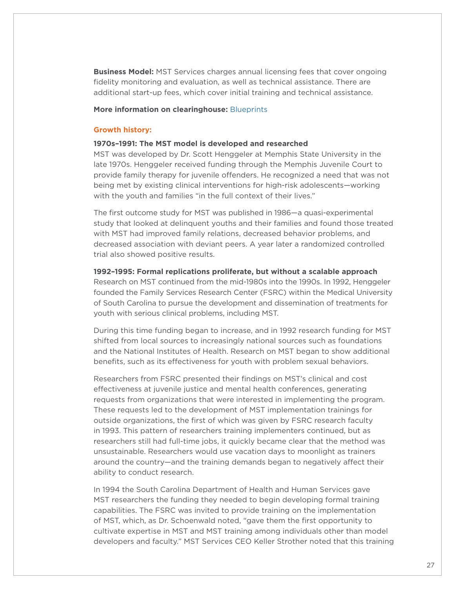**Business Model:** MST Services charges annual licensing fees that cover ongoing fidelity monitoring and evaluation, as well as technical assistance. There are additional start-up fees, which cover initial training and technical assistance.

#### **More information on clearinghouse:** [Blueprints](http://www.blueprintsprograms.com/factsheet/multisystemic-therapy-mst)

#### **Growth history:**

#### **1970s–1991: The MST model is developed and researched**

MST was developed by Dr. Scott Henggeler at Memphis State University in the late 1970s. Henggeler received funding through the Memphis Juvenile Court to provide family therapy for juvenile offenders. He recognized a need that was not being met by existing clinical interventions for high-risk adolescents—working with the youth and families "in the full context of their lives."

The first outcome study for MST was published in 1986—a quasi-experimental study that looked at delinquent youths and their families and found those treated with MST had improved family relations, decreased behavior problems, and decreased association with deviant peers. A year later a randomized controlled trial also showed positive results.

#### **1992–1995: Formal replications proliferate, but without a scalable approach**

Research on MST continued from the mid-1980s into the 1990s. In 1992, Henggeler founded the Family Services Research Center (FSRC) within the Medical University of South Carolina to pursue the development and dissemination of treatments for youth with serious clinical problems, including MST.

During this time funding began to increase, and in 1992 research funding for MST shifted from local sources to increasingly national sources such as foundations and the National Institutes of Health. Research on MST began to show additional benefits, such as its effectiveness for youth with problem sexual behaviors.

Researchers from FSRC presented their findings on MST's clinical and cost effectiveness at juvenile justice and mental health conferences, generating requests from organizations that were interested in implementing the program. These requests led to the development of MST implementation trainings for outside organizations, the first of which was given by FSRC research faculty in 1993. This pattern of researchers training implementers continued, but as researchers still had full-time jobs, it quickly became clear that the method was unsustainable. Researchers would use vacation days to moonlight as trainers around the country—and the training demands began to negatively affect their ability to conduct research.

In 1994 the South Carolina Department of Health and Human Services gave MST researchers the funding they needed to begin developing formal training capabilities. The FSRC was invited to provide training on the implementation of MST, which, as Dr. Schoenwald noted, "gave them the first opportunity to cultivate expertise in MST and MST training among individuals other than model developers and faculty." MST Services CEO Keller Strother noted that this training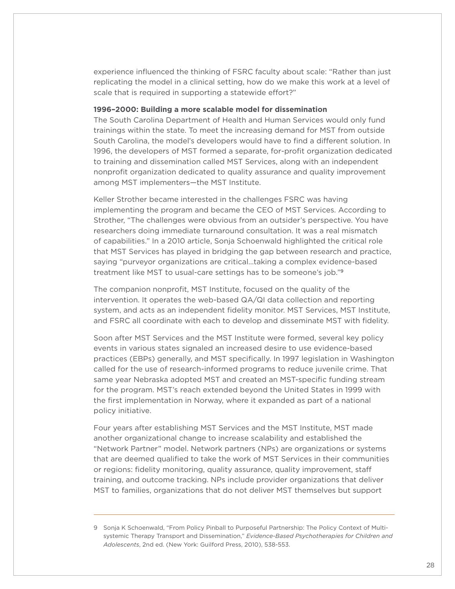experience influenced the thinking of FSRC faculty about scale: "Rather than just replicating the model in a clinical setting, how do we make this work at a level of scale that is required in supporting a statewide effort?"

#### **1996–2000: Building a more scalable model for dissemination**

The South Carolina Department of Health and Human Services would only fund trainings within the state. To meet the increasing demand for MST from outside South Carolina, the model's developers would have to find a different solution. In 1996, the developers of MST formed a separate, for-profit organization dedicated to training and dissemination called MST Services, along with an independent nonprofit organization dedicated to quality assurance and quality improvement among MST implementers—the MST Institute.

Keller Strother became interested in the challenges FSRC was having implementing the program and became the CEO of MST Services. According to Strother, "The challenges were obvious from an outsider's perspective. You have researchers doing immediate turnaround consultation. It was a real mismatch of capabilities." In a 2010 article, Sonja Schoenwald highlighted the critical role that MST Services has played in bridging the gap between research and practice, saying "purveyor organizations are critical…taking a complex evidence-based treatment like MST to usual-care settings has to be someone's job."9

The companion nonprofit, MST Institute, focused on the quality of the intervention. It operates the web-based QA/QI data collection and reporting system, and acts as an independent fidelity monitor. MST Services, MST Institute, and FSRC all coordinate with each to develop and disseminate MST with fidelity.

Soon after MST Services and the MST Institute were formed, several key policy events in various states signaled an increased desire to use evidence-based practices (EBPs) generally, and MST specifically. In 1997 legislation in Washington called for the use of research-informed programs to reduce juvenile crime. That same year Nebraska adopted MST and created an MST-specific funding stream for the program. MST's reach extended beyond the United States in 1999 with the first implementation in Norway, where it expanded as part of a national policy initiative.

Four years after establishing MST Services and the MST Institute, MST made another organizational change to increase scalability and established the "Network Partner" model. Network partners (NPs) are organizations or systems that are deemed qualified to take the work of MST Services in their communities or regions: fidelity monitoring, quality assurance, quality improvement, staff training, and outcome tracking. NPs include provider organizations that deliver MST to families, organizations that do not deliver MST themselves but support

<sup>9</sup> Sonja K Schoenwald, "From Policy Pinball to Purposeful Partnership: The Policy Context of Multisystemic Therapy Transport and Dissemination," *Evidence-Based Psychotherapies for Children and Adolescents*, 2nd ed. (New York: Guilford Press, 2010), 538-553.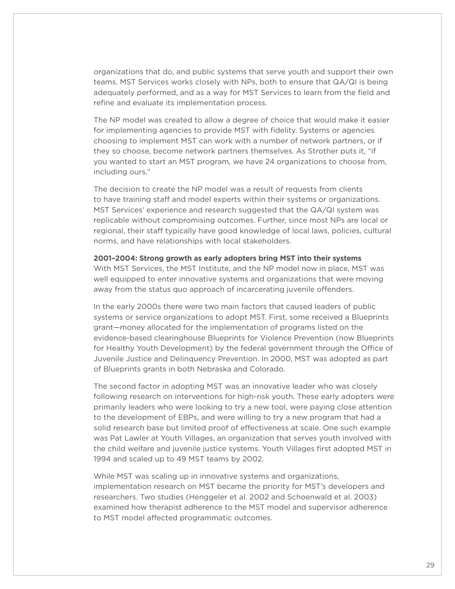organizations that do, and public systems that serve youth and support their own teams. MST Services works closely with NPs, both to ensure that QA/QI is being adequately performed, and as a way for MST Services to learn from the field and refine and evaluate its implementation process.

The NP model was created to allow a degree of choice that would make it easier for implementing agencies to provide MST with fidelity. Systems or agencies choosing to implement MST can work with a number of network partners, or if they so choose, become network partners themselves. As Strother puts it, "if you wanted to start an MST program, we have 24 organizations to choose from, including ours."

The decision to create the NP model was a result of requests from clients to have training staff and model experts within their systems or organizations. MST Services' experience and research suggested that the QA/QI system was replicable without compromising outcomes. Further, since most NPs are local or regional, their staff typically have good knowledge of local laws, policies, cultural norms, and have relationships with local stakeholders.

**2001–2004: Strong growth as early adopters bring MST into their systems**  With MST Services, the MST Institute, and the NP model now in place, MST was well equipped to enter innovative systems and organizations that were moving away from the status quo approach of incarcerating juvenile offenders.

In the early 2000s there were two main factors that caused leaders of public systems or service organizations to adopt MST. First, some received a Blueprints grant—money allocated for the implementation of programs listed on the evidence-based clearinghouse Blueprints for Violence Prevention (now Blueprints for Healthy Youth Development) by the federal government through the Office of Juvenile Justice and Delinquency Prevention. In 2000, MST was adopted as part of Blueprints grants in both Nebraska and Colorado.

The second factor in adopting MST was an innovative leader who was closely following research on interventions for high-risk youth. These early adopters were primarily leaders who were looking to try a new tool, were paying close attention to the development of EBPs, and were willing to try a new program that had a solid research base but limited proof of effectiveness at scale. One such example was Pat Lawler at Youth Villages, an organization that serves youth involved with the child welfare and juvenile justice systems. Youth Villages first adopted MST in 1994 and scaled up to 49 MST teams by 2002.

While MST was scaling up in innovative systems and organizations, implementation research on MST became the priority for MST's developers and researchers. Two studies (Henggeler et al. 2002 and Schoenwald et al. 2003) examined how therapist adherence to the MST model and supervisor adherence to MST model affected programmatic outcomes.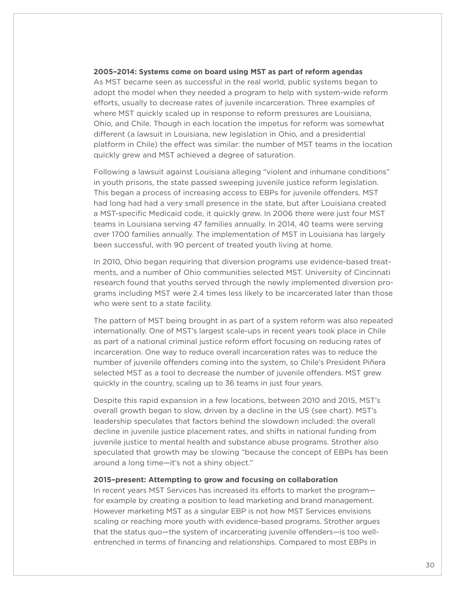#### **2005–2014: Systems come on board using MST as part of reform agendas**

As MST became seen as successful in the real world, public systems began to adopt the model when they needed a program to help with system-wide reform efforts, usually to decrease rates of juvenile incarceration. Three examples of where MST quickly scaled up in response to reform pressures are Louisiana, Ohio, and Chile. Though in each location the impetus for reform was somewhat different (a lawsuit in Louisiana, new legislation in Ohio, and a presidential platform in Chile) the effect was similar: the number of MST teams in the location quickly grew and MST achieved a degree of saturation.

Following a lawsuit against Louisiana alleging "violent and inhumane conditions" in youth prisons, the state passed sweeping juvenile justice reform legislation. This began a process of increasing access to EBPs for juvenile offenders. MST had long had had a very small presence in the state, but after Louisiana created a MST-specific Medicaid code, it quickly grew. In 2006 there were just four MST teams in Louisiana serving 47 families annually. In 2014, 40 teams were serving over 1700 families annually. The implementation of MST in Louisiana has largely been successful, with 90 percent of treated youth living at home.

In 2010, Ohio began requiring that diversion programs use evidence-based treatments, and a number of Ohio communities selected MST. University of Cincinnati research found that youths served through the newly implemented diversion programs including MST were 2.4 times less likely to be incarcerated later than those who were sent to a state facility.

The pattern of MST being brought in as part of a system reform was also repeated internationally. One of MST's largest scale-ups in recent years took place in Chile as part of a national criminal justice reform effort focusing on reducing rates of incarceration. One way to reduce overall incarceration rates was to reduce the number of juvenile offenders coming into the system, so Chile's President Piñera selected MST as a tool to decrease the number of juvenile offenders. MST grew quickly in the country, scaling up to 36 teams in just four years.

Despite this rapid expansion in a few locations, between 2010 and 2015, MST's overall growth began to slow, driven by a decline in the US (see chart). MST's leadership speculates that factors behind the slowdown included: the overall decline in juvenile justice placement rates, and shifts in national funding from juvenile justice to mental health and substance abuse programs. Strother also speculated that growth may be slowing "because the concept of EBPs has been around a long time—it's not a shiny object."

#### **2015–present: Attempting to grow and focusing on collaboration**

In recent years MST Services has increased its efforts to market the program for example by creating a position to lead marketing and brand management. However marketing MST as a singular EBP is not how MST Services envisions scaling or reaching more youth with evidence-based programs. Strother argues that the status quo—the system of incarcerating juvenile offenders—is too wellentrenched in terms of financing and relationships. Compared to most EBPs in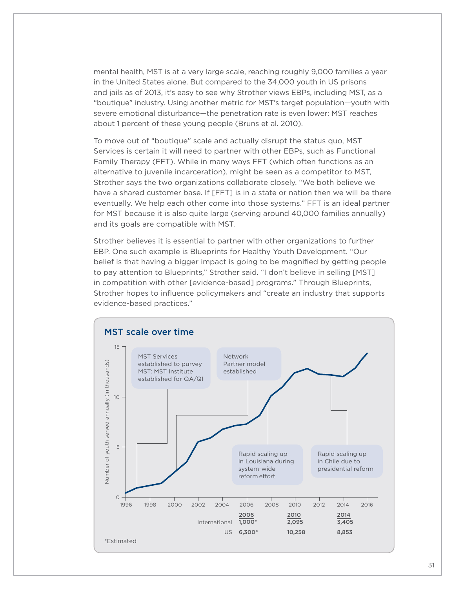mental health, MST is at a very large scale, reaching roughly 9,000 families a year in the United States alone. But compared to the 34,000 youth in US prisons and jails as of 2013, it's easy to see why Strother views EBPs, including MST, as a "boutique" industry. Using another metric for MST's target population—youth with severe emotional disturbance—the penetration rate is even lower: MST reaches about 1 percent of these young people (Bruns et al. 2010).

To move out of "boutique" scale and actually disrupt the status quo, MST Services is certain it will need to partner with other EBPs, such as Functional Family Therapy (FFT). While in many ways FFT (which often functions as an alternative to juvenile incarceration), might be seen as a competitor to MST, Strother says the two organizations collaborate closely. "We both believe we have a shared customer base. If [FFT] is in a state or nation then we will be there eventually. We help each other come into those systems." FFT is an ideal partner for MST because it is also quite large (serving around 40,000 families annually) and its goals are compatible with MST.

Strother believes it is essential to partner with other organizations to further EBP. One such example is Blueprints for Healthy Youth Development. "Our belief is that having a bigger impact is going to be magnified by getting people to pay attention to Blueprints," Strother said. "I don't believe in selling [MST] in competition with other [evidence-based] programs." Through Blueprints, Strother hopes to influence policymakers and "create an industry that supports evidence-based practices."

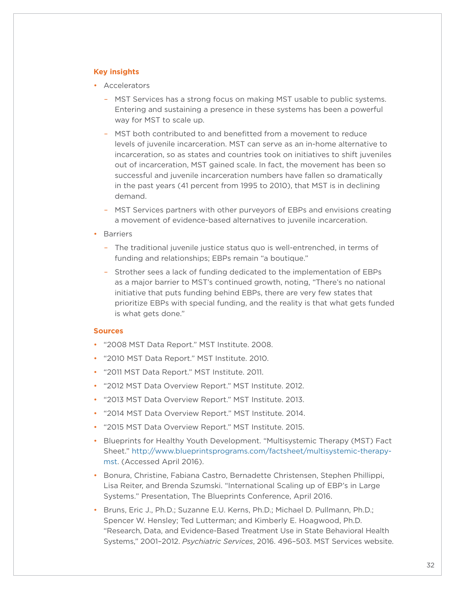#### **Key insights**

- Accelerators
	- MST Services has a strong focus on making MST usable to public systems. Entering and sustaining a presence in these systems has been a powerful way for MST to scale up.
	- MST both contributed to and benefitted from a movement to reduce levels of juvenile incarceration. MST can serve as an in-home alternative to incarceration, so as states and countries took on initiatives to shift juveniles out of incarceration, MST gained scale. In fact, the movement has been so successful and juvenile incarceration numbers have fallen so dramatically in the past years (41 percent from 1995 to 2010), that MST is in declining demand.
	- MST Services partners with other purveyors of EBPs and envisions creating a movement of evidence-based alternatives to juvenile incarceration.
- Barriers
	- The traditional juvenile justice status quo is well-entrenched, in terms of funding and relationships; EBPs remain "a boutique."
	- Strother sees a lack of funding dedicated to the implementation of EBPs as a major barrier to MST's continued growth, noting, "There's no national initiative that puts funding behind EBPs, there are very few states that prioritize EBPs with special funding, and the reality is that what gets funded is what gets done."

#### **Sources**

- "2008 MST Data Report." MST Institute. 2008.
- "2010 MST Data Report." MST Institute. 2010.
- "2011 MST Data Report." MST Institute. 2011.
- "2012 MST Data Overview Report." MST Institute. 2012.
- "2013 MST Data Overview Report." MST Institute. 2013.
- "2014 MST Data Overview Report." MST Institute. 2014.
- "2015 MST Data Overview Report." MST Institute. 2015.
- Blueprints for Healthy Youth Development. "Multisystemic Therapy (MST) Fact Sheet." [http://www.blueprintsprograms.com/factsheet/multisystemic-therapy](http://www.blueprintsprograms.com/factsheet/multisystemic-therapy-mst)[mst.](http://www.blueprintsprograms.com/factsheet/multisystemic-therapy-mst) (Accessed April 2016).
- Bonura, Christine, Fabiana Castro, Bernadette Christensen, Stephen Phillippi, Lisa Reiter, and Brenda Szumski. "International Scaling up of EBP's in Large Systems." Presentation, The Blueprints Conference, April 2016.
- Bruns, Eric J., Ph.D.; Suzanne E.U. Kerns, Ph.D.; Michael D. Pullmann, Ph.D.; Spencer W. Hensley; Ted Lutterman; and Kimberly E. Hoagwood, Ph.D. "Research, Data, and Evidence-Based Treatment Use in State Behavioral Health Systems," 2001–2012. *Psychiatric Services*, 2016. 496–503. MST Services website.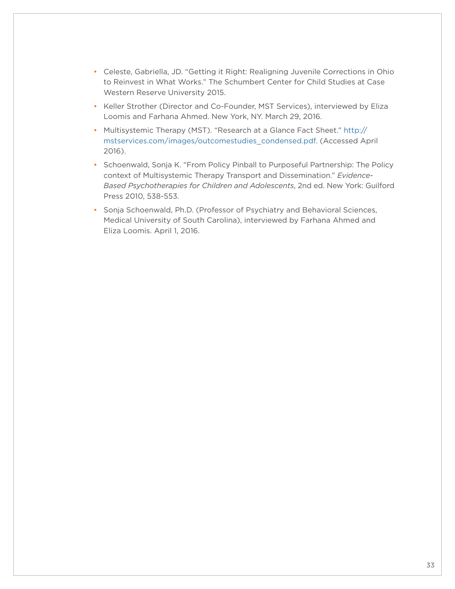- Celeste, Gabriella, JD. "Getting it Right: Realigning Juvenile Corrections in Ohio to Reinvest in What Works." The Schumbert Center for Child Studies at Case Western Reserve University 2015.
- Keller Strother (Director and Co-Founder, MST Services), interviewed by Eliza Loomis and Farhana Ahmed. New York, NY. March 29, 2016.
- Multisystemic Therapy (MST). "Research at a Glance Fact Sheet." [http://](http://mstservices.com/images/outcomestudies_condensed.pdf) [mstservices.com/images/outcomestudies\\_condensed.pdf](http://mstservices.com/images/outcomestudies_condensed.pdf). (Accessed April 2016).
- Schoenwald, Sonja K. "From Policy Pinball to Purposeful Partnership: The Policy context of Multisystemic Therapy Transport and Dissemination." *Evidence-Based Psychotherapies for Children and Adolescents*, 2nd ed. New York: Guilford Press 2010, 538-553.
- Sonja Schoenwald, Ph.D. (Professor of Psychiatry and Behavioral Sciences, Medical University of South Carolina), interviewed by Farhana Ahmed and Eliza Loomis. April 1, 2016.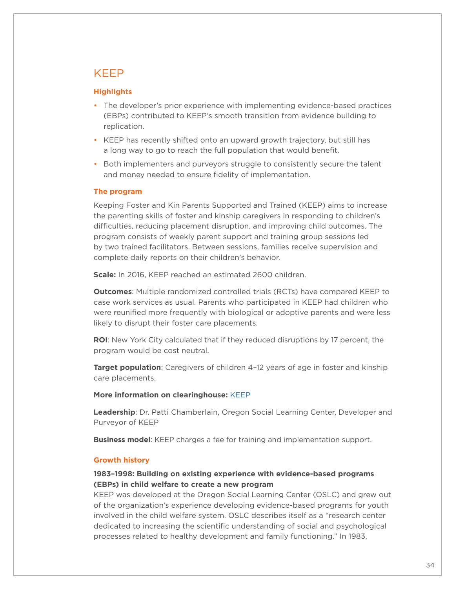## <span id="page-33-0"></span>KEEP

#### **Highlights**

- The developer's prior experience with implementing evidence-based practices (EBPs) contributed to KEEP's smooth transition from evidence building to replication.
- KEEP has recently shifted onto an upward growth trajectory, but still has a long way to go to reach the full population that would benefit.
- Both implementers and purveyors struggle to consistently secure the talent and money needed to ensure fidelity of implementation.

#### **The program**

Keeping Foster and Kin Parents Supported and Trained (KEEP) aims to increase the parenting skills of foster and kinship caregivers in responding to children's difficulties, reducing placement disruption, and improving child outcomes. The program consists of weekly parent support and training group sessions led by two trained facilitators. Between sessions, families receive supervision and complete daily reports on their children's behavior.

**Scale:** In 2016, KEEP reached an estimated 2600 children.

**Outcomes**: Multiple randomized controlled trials (RCTs) have compared KEEP to case work services as usual. Parents who participated in KEEP had children who were reunified more frequently with biological or adoptive parents and were less likely to disrupt their foster care placements.

**ROI**: New York City calculated that if they reduced disruptions by 17 percent, the program would be cost neutral.

**Target population**: Caregivers of children 4–12 years of age in foster and kinship care placements.

#### **More information on clearinghouse:** [KEEP](http://www.cebc4cw.org/program/keeping-foster-and-kin-parents-supported-and-trained/detailed)

**Leadership**: Dr. Patti Chamberlain, Oregon Social Learning Center, Developer and Purveyor of KEEP

**Business model**: KEEP charges a fee for training and implementation support.

#### **Growth history**

#### **1983–1998: Building on existing experience with evidence-based programs (EBPs) in child welfare to create a new program**

KEEP was developed at the Oregon Social Learning Center (OSLC) and grew out of the organization's experience developing evidence-based programs for youth involved in the child welfare system. OSLC describes itself as a "research center dedicated to increasing the scientific understanding of social and psychological processes related to healthy development and family functioning." In 1983,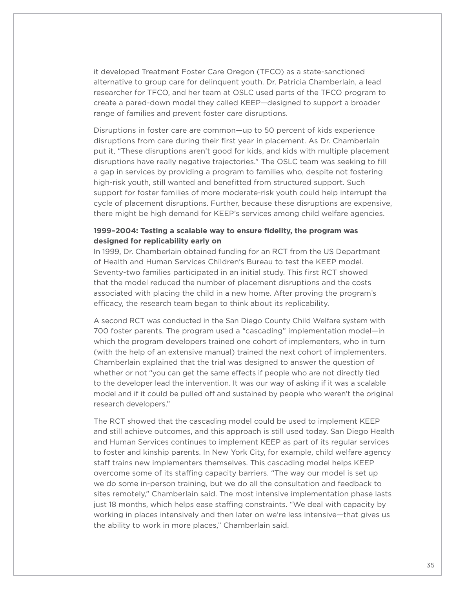it developed Treatment Foster Care Oregon (TFCO) as a state-sanctioned alternative to group care for delinquent youth. Dr. Patricia Chamberlain, a lead researcher for TFCO, and her team at OSLC used parts of the TFCO program to create a pared-down model they called KEEP—designed to support a broader range of families and prevent foster care disruptions.

Disruptions in foster care are common—up to 50 percent of kids experience disruptions from care during their first year in placement. As Dr. Chamberlain put it, "These disruptions aren't good for kids, and kids with multiple placement disruptions have really negative trajectories." The OSLC team was seeking to fill a gap in services by providing a program to families who, despite not fostering high-risk youth, still wanted and benefitted from structured support. Such support for foster families of more moderate-risk youth could help interrupt the cycle of placement disruptions. Further, because these disruptions are expensive, there might be high demand for KEEP's services among child welfare agencies.

#### **1999–2004: Testing a scalable way to ensure fidelity, the program was designed for replicability early on**

In 1999, Dr. Chamberlain obtained funding for an RCT from the US Department of Health and Human Services Children's Bureau to test the KEEP model. Seventy-two families participated in an initial study. This first RCT showed that the model reduced the number of placement disruptions and the costs associated with placing the child in a new home. After proving the program's efficacy, the research team began to think about its replicability.

A second RCT was conducted in the San Diego County Child Welfare system with 700 foster parents. The program used a "cascading" implementation model—in which the program developers trained one cohort of implementers, who in turn (with the help of an extensive manual) trained the next cohort of implementers. Chamberlain explained that the trial was designed to answer the question of whether or not "you can get the same effects if people who are not directly tied to the developer lead the intervention. It was our way of asking if it was a scalable model and if it could be pulled off and sustained by people who weren't the original research developers."

The RCT showed that the cascading model could be used to implement KEEP and still achieve outcomes, and this approach is still used today. San Diego Health and Human Services continues to implement KEEP as part of its regular services to foster and kinship parents. In New York City, for example, child welfare agency staff trains new implementers themselves. This cascading model helps KEEP overcome some of its staffing capacity barriers. "The way our model is set up we do some in-person training, but we do all the consultation and feedback to sites remotely," Chamberlain said. The most intensive implementation phase lasts just 18 months, which helps ease staffing constraints. "We deal with capacity by working in places intensively and then later on we're less intensive—that gives us the ability to work in more places," Chamberlain said.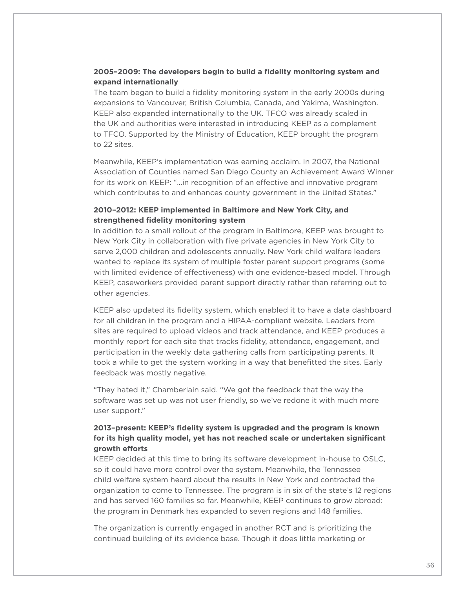#### **2005–2009: The developers begin to build a fidelity monitoring system and expand internationally**

The team began to build a fidelity monitoring system in the early 2000s during expansions to Vancouver, British Columbia, Canada, and Yakima, Washington. KEEP also expanded internationally to the UK. TFCO was already scaled in the UK and authorities were interested in introducing KEEP as a complement to TFCO. Supported by the Ministry of Education, KEEP brought the program to 22 sites.

Meanwhile, KEEP's implementation was earning acclaim. In 2007, the National Association of Counties named San Diego County an Achievement Award Winner for its work on KEEP: "…in recognition of an effective and innovative program which contributes to and enhances county government in the United States."

#### **2010–2012: KEEP implemented in Baltimore and New York City, and strengthened fidelity monitoring system**

In addition to a small rollout of the program in Baltimore, KEEP was brought to New York City in collaboration with five private agencies in New York City to serve 2,000 children and adolescents annually. New York child welfare leaders wanted to replace its system of multiple foster parent support programs (some with limited evidence of effectiveness) with one evidence-based model. Through KEEP, caseworkers provided parent support directly rather than referring out to other agencies.

KEEP also updated its fidelity system, which enabled it to have a data dashboard for all children in the program and a HIPAA-compliant website. Leaders from sites are required to upload videos and track attendance, and KEEP produces a monthly report for each site that tracks fidelity, attendance, engagement, and participation in the weekly data gathering calls from participating parents. It took a while to get the system working in a way that benefitted the sites. Early feedback was mostly negative.

"They hated it," Chamberlain said. "We got the feedback that the way the software was set up was not user friendly, so we've redone it with much more user support."

#### **2013–present: KEEP's fidelity system is upgraded and the program is known for its high quality model, yet has not reached scale or undertaken significant growth efforts**

KEEP decided at this time to bring its software development in-house to OSLC, so it could have more control over the system. Meanwhile, the Tennessee child welfare system heard about the results in New York and contracted the organization to come to Tennessee. The program is in six of the state's 12 regions and has served 160 families so far. Meanwhile, KEEP continues to grow abroad: the program in Denmark has expanded to seven regions and 148 families.

The organization is currently engaged in another RCT and is prioritizing the continued building of its evidence base. Though it does little marketing or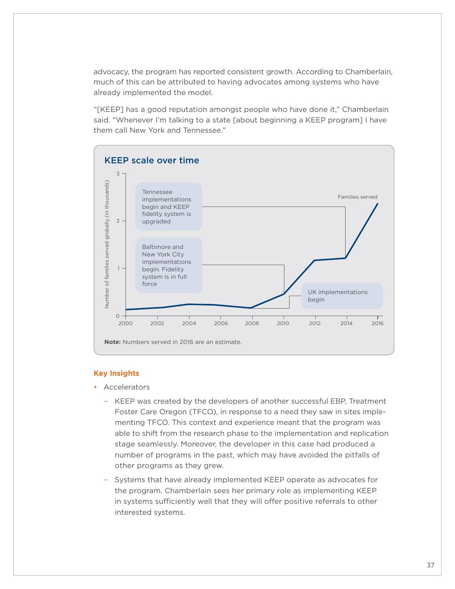advocacy, the program has reported consistent growth. According to Chamberlain, much of this can be attributed to having advocates among systems who have already implemented the model.

"[KEEP] has a good reputation amongst people who have done it," Chamberlain said. "Whenever I'm talking to a state [about beginning a KEEP program] I have them call New York and Tennessee."



#### **Key Insights**

- Accelerators
	- KEEP was created by the developers of another successful EBP, Treatment Foster Care Oregon (TFCO), in response to a need they saw in sites implementing TFCO. This context and experience meant that the program was able to shift from the research phase to the implementation and replication stage seamlessly. Moreover, the developer in this case had produced a number of programs in the past, which may have avoided the pitfalls of other programs as they grew.
	- Systems that have already implemented KEEP operate as advocates for the program. Chamberlain sees her primary role as implementing KEEP in systems sufficiently well that they will offer positive referrals to other interested systems.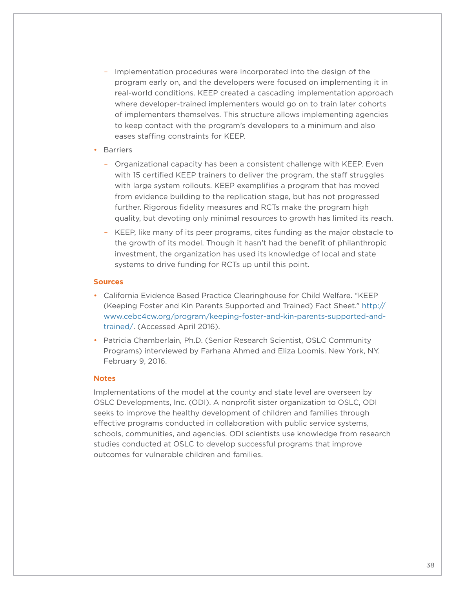- Implementation procedures were incorporated into the design of the program early on, and the developers were focused on implementing it in real-world conditions. KEEP created a cascading implementation approach where developer-trained implementers would go on to train later cohorts of implementers themselves. This structure allows implementing agencies to keep contact with the program's developers to a minimum and also eases staffing constraints for KEEP.
- Barriers
	- Organizational capacity has been a consistent challenge with KEEP. Even with 15 certified KEEP trainers to deliver the program, the staff struggles with large system rollouts. KEEP exemplifies a program that has moved from evidence building to the replication stage, but has not progressed further. Rigorous fidelity measures and RCTs make the program high quality, but devoting only minimal resources to growth has limited its reach.
	- KEEP, like many of its peer programs, cites funding as the major obstacle to the growth of its model. Though it hasn't had the benefit of philanthropic investment, the organization has used its knowledge of local and state systems to drive funding for RCTs up until this point.

#### **Sources**

- California Evidence Based Practice Clearinghouse for Child Welfare. "KEEP (Keeping Foster and Kin Parents Supported and Trained) Fact Sheet." [http://](http://www.cebc4cw.org/program/keeping-foster-and-kin-parents-supported-and-trained/) [www.cebc4cw.org/program/keeping-foster-and-kin-parents-supported-and](http://www.cebc4cw.org/program/keeping-foster-and-kin-parents-supported-and-trained/)[trained/.](http://www.cebc4cw.org/program/keeping-foster-and-kin-parents-supported-and-trained/) (Accessed April 2016).
- Patricia Chamberlain, Ph.D. (Senior Research Scientist, OSLC Community Programs) interviewed by Farhana Ahmed and Eliza Loomis. New York, NY. February 9, 2016.

#### **Notes**

Implementations of the model at the county and state level are overseen by OSLC Developments, Inc. (ODI). A nonprofit sister organization to OSLC, ODI seeks to improve the healthy development of children and families through effective programs conducted in collaboration with public service systems, schools, communities, and agencies. ODI scientists use knowledge from research studies conducted at OSLC to develop successful programs that improve outcomes for vulnerable children and families.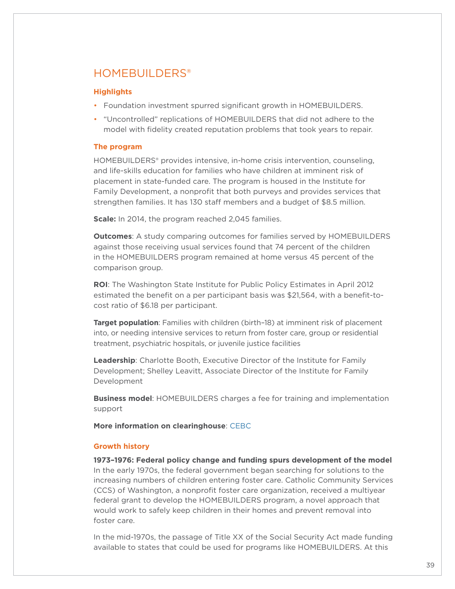## <span id="page-38-0"></span>HOMFBUILDERS<sup>®</sup>

#### **Highlights**

- Foundation investment spurred significant growth in HOMEBUILDERS.
- "Uncontrolled" replications of HOMEBUILDERS that did not adhere to the model with fidelity created reputation problems that took years to repair.

#### **The program**

HOMEBUILDERS® provides intensive, in-home crisis intervention, counseling, and life-skills education for families who have children at imminent risk of placement in state-funded care. The program is housed in the Institute for Family Development, a nonprofit that both purveys and provides services that strengthen families. It has 130 staff members and a budget of \$8.5 million.

**Scale:** In 2014, the program reached 2,045 families.

**Outcomes**: A study comparing outcomes for families served by HOMEBUILDERS against those receiving usual services found that 74 percent of the children in the HOMEBUILDERS program remained at home versus 45 percent of the comparison group.

**ROI**: The Washington State Institute for Public Policy Estimates in April 2012 estimated the benefit on a per participant basis was \$21,564, with a benefit-tocost ratio of \$6.18 per participant.

**Target population**: Families with children (birth–18) at imminent risk of placement into, or needing intensive services to return from foster care, group or residential treatment, psychiatric hospitals, or juvenile justice facilities

**Leadership**: Charlotte Booth, Executive Director of the Institute for Family Development; Shelley Leavitt, Associate Director of the Institute for Family Development

**Business model**: HOMEBUILDERS charges a fee for training and implementation support

**More information on clearinghouse**: [CEBC](http://www.cebc4cw.org/program/homebuilders/detailed)

#### **Growth history**

**1973–1976: Federal policy change and funding spurs development of the model** In the early 1970s, the federal government began searching for solutions to the increasing numbers of children entering foster care. Catholic Community Services (CCS) of Washington, a nonprofit foster care organization, received a multiyear federal grant to develop the HOMEBUILDERS program, a novel approach that would work to safely keep children in their homes and prevent removal into foster care.

In the mid-1970s, the passage of Title XX of the Social Security Act made funding available to states that could be used for programs like HOMEBUILDERS. At this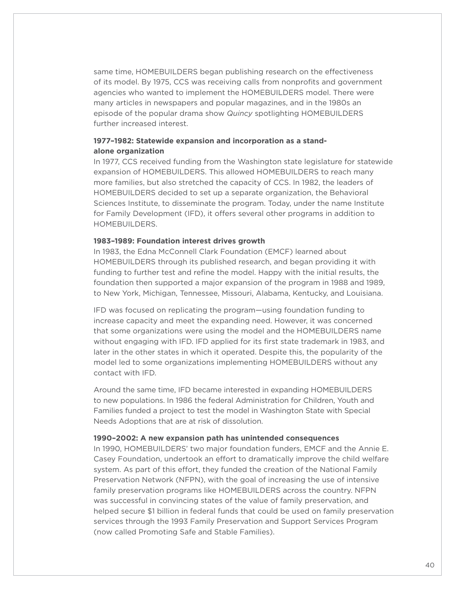same time, HOMEBUILDERS began publishing research on the effectiveness of its model. By 1975, CCS was receiving calls from nonprofits and government agencies who wanted to implement the HOMEBUILDERS model. There were many articles in newspapers and popular magazines, and in the 1980s an episode of the popular drama show *Quincy* spotlighting HOMEBUILDERS further increased interest.

#### **1977–1982: Statewide expansion and incorporation as a standalone organization**

In 1977, CCS received funding from the Washington state legislature for statewide expansion of HOMEBUILDERS. This allowed HOMEBUILDERS to reach many more families, but also stretched the capacity of CCS. In 1982, the leaders of HOMEBUILDERS decided to set up a separate organization, the Behavioral Sciences Institute, to disseminate the program. Today, under the name Institute for Family Development (IFD), it offers several other programs in addition to HOMEBUILDERS.

#### **1983–1989: Foundation interest drives growth**

In 1983, the Edna McConnell Clark Foundation (EMCF) learned about HOMEBUILDERS through its published research, and began providing it with funding to further test and refine the model. Happy with the initial results, the foundation then supported a major expansion of the program in 1988 and 1989, to New York, Michigan, Tennessee, Missouri, Alabama, Kentucky, and Louisiana.

IFD was focused on replicating the program—using foundation funding to increase capacity and meet the expanding need. However, it was concerned that some organizations were using the model and the HOMEBUILDERS name without engaging with IFD. IFD applied for its first state trademark in 1983, and later in the other states in which it operated. Despite this, the popularity of the model led to some organizations implementing HOMEBUILDERS without any contact with IFD.

Around the same time, IFD became interested in expanding HOMEBUILDERS to new populations. In 1986 the federal Administration for Children, Youth and Families funded a project to test the model in Washington State with Special Needs Adoptions that are at risk of dissolution.

#### **1990–2002: A new expansion path has unintended consequences**

In 1990, HOMEBUILDERS' two major foundation funders, EMCF and the Annie E. Casey Foundation, undertook an effort to dramatically improve the child welfare system. As part of this effort, they funded the creation of the National Family Preservation Network (NFPN), with the goal of increasing the use of intensive family preservation programs like HOMEBUILDERS across the country. NFPN was successful in convincing states of the value of family preservation, and helped secure \$1 billion in federal funds that could be used on family preservation services through the 1993 Family Preservation and Support Services Program (now called Promoting Safe and Stable Families).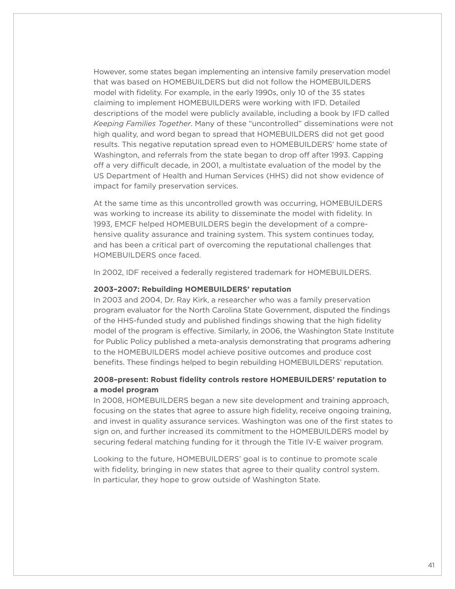However, some states began implementing an intensive family preservation model that was based on HOMEBUILDERS but did not follow the HOMEBUILDERS model with fidelity. For example, in the early 1990s, only 10 of the 35 states claiming to implement HOMEBUILDERS were working with IFD. Detailed descriptions of the model were publicly available, including a book by IFD called *Keeping Families Together*. Many of these "uncontrolled" disseminations were not high quality, and word began to spread that HOMEBUILDERS did not get good results. This negative reputation spread even to HOMEBUILDERS' home state of Washington, and referrals from the state began to drop off after 1993. Capping off a very difficult decade, in 2001, a multistate evaluation of the model by the US Department of Health and Human Services (HHS) did not show evidence of impact for family preservation services.

At the same time as this uncontrolled growth was occurring, HOMEBUILDERS was working to increase its ability to disseminate the model with fidelity. In 1993, EMCF helped HOMEBUILDERS begin the development of a comprehensive quality assurance and training system. This system continues today, and has been a critical part of overcoming the reputational challenges that HOMEBUILDERS once faced.

In 2002, IDF received a federally registered trademark for HOMEBUILDERS.

#### **2003–2007: Rebuilding HOMEBUILDERS' reputation**

In 2003 and 2004, Dr. Ray Kirk, a researcher who was a family preservation program evaluator for the North Carolina State Government, disputed the findings of the HHS-funded study and published findings showing that the high fidelity model of the program is effective. Similarly, in 2006, the Washington State Institute for Public Policy published a meta-analysis demonstrating that programs adhering to the HOMEBUILDERS model achieve positive outcomes and produce cost benefits. These findings helped to begin rebuilding HOMEBUILDERS' reputation.

#### **2008–present: Robust fidelity controls restore HOMEBUILDERS' reputation to a model program**

In 2008, HOMEBUILDERS began a new site development and training approach, focusing on the states that agree to assure high fidelity, receive ongoing training, and invest in quality assurance services. Washington was one of the first states to sign on, and further increased its commitment to the HOMEBUILDERS model by securing federal matching funding for it through the Title IV-E waiver program.

Looking to the future, HOMEBUILDERS' goal is to continue to promote scale with fidelity, bringing in new states that agree to their quality control system. In particular, they hope to grow outside of Washington State.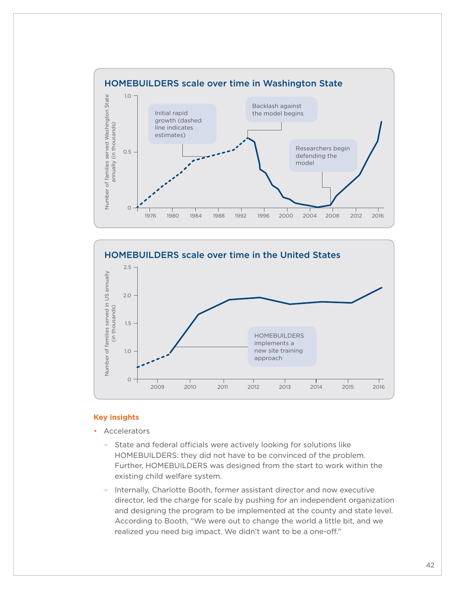



#### **Key insights**

- **Accelerators** 
	- State and federal officials were actively looking for solutions like HOMEBUILDERS: they did not have to be convinced of the problem. Further, HOMEBUILDERS was designed from the start to work within the existing child welfare system.
	- Internally, Charlotte Booth, former assistant director and now executive director, led the charge for scale by pushing for an independent organization and designing the program to be implemented at the county and state level. According to Booth, "We were out to change the world a little bit, and we realized you need big impact. We didn't want to be a one-off."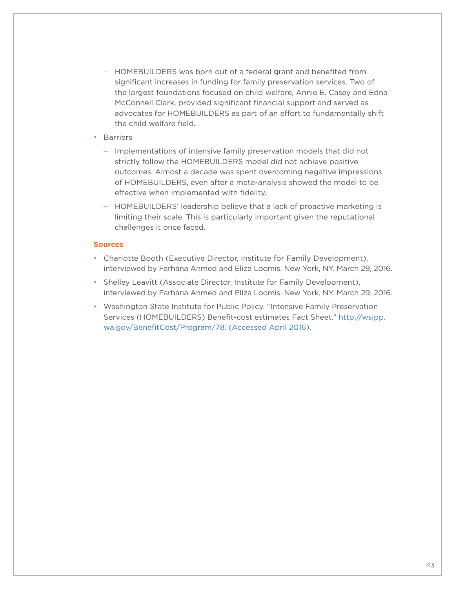- HOMEBUILDERS was born out of a federal grant and benefited from significant increases in funding for family preservation services. Two of the largest foundations focused on child welfare, Annie E. Casey and Edna McConnell Clark, provided significant financial support and served as advocates for HOMEBUILDERS as part of an effort to fundamentally shift the child welfare field.
- Barriers
	- Implementations of intensive family preservation models that did not strictly follow the HOMEBUILDERS model did not achieve positive outcomes. Almost a decade was spent overcoming negative impressions of HOMEBUILDERS, even after a meta-analysis showed the model to be effective when implemented with fidelity.
	- HOMEBUILDERS' leadership believe that a lack of proactive marketing is limiting their scale. This is particularly important given the reputational challenges it once faced.

#### **Sources**

- Charlotte Booth (Executive Director, Institute for Family Development), interviewed by Farhana Ahmed and Eliza Loomis. New York, NY. March 29, 2016.
- Shelley Leavitt (Associate Director, Institute for Family Development), interviewed by Farhana Ahmed and Eliza Loomis. New York, NY. March 29, 2016.
- Washington State Institute for Public Policy. "Intensive Family Preservation Services (HOMEBUILDERS) Benefit-cost estimates Fact Sheet." [http://wsipp.](http://wsipp.wa.gov/BenefitCost/Program/78. (Accessed April 2016)) [wa.gov/BenefitCost/Program/78. \(Accessed April 2016\)](http://wsipp.wa.gov/BenefitCost/Program/78. (Accessed April 2016)).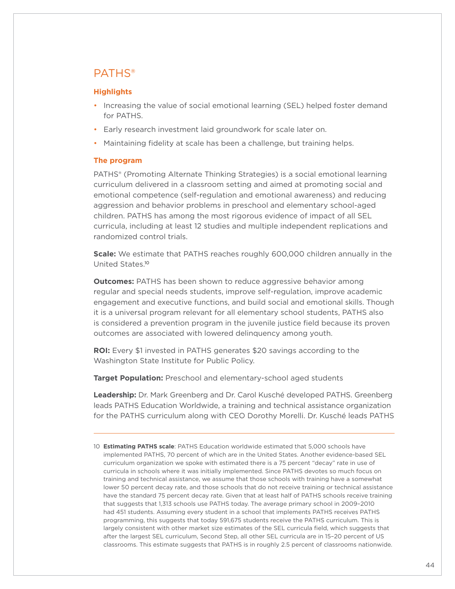## <span id="page-43-0"></span>PATHS®

#### **Highlights**

- Increasing the value of social emotional learning (SEL) helped foster demand for PATHS.
- Early research investment laid groundwork for scale later on.
- Maintaining fidelity at scale has been a challenge, but training helps.

#### **The program**

PATHS® (Promoting Alternate Thinking Strategies) is a social emotional learning curriculum delivered in a classroom setting and aimed at promoting social and emotional competence (self-regulation and emotional awareness) and reducing aggression and behavior problems in preschool and elementary school-aged children. PATHS has among the most rigorous evidence of impact of all SEL curricula, including at least 12 studies and multiple independent replications and randomized control trials.

**Scale:** We estimate that PATHS reaches roughly 600,000 children annually in the United States. 10

**Outcomes:** PATHS has been shown to reduce aggressive behavior among regular and special needs students, improve self-regulation, improve academic engagement and executive functions, and build social and emotional skills. Though it is a universal program relevant for all elementary school students, PATHS also is considered a prevention program in the juvenile justice field because its proven outcomes are associated with lowered delinquency among youth.

**ROI:** Every \$1 invested in PATHS generates \$20 savings according to the Washington State Institute for Public Policy.

**Target Population:** Preschool and elementary-school aged students

**Leadership:** Dr. Mark Greenberg and Dr. Carol Kusché developed PATHS. Greenberg leads PATHS Education Worldwide, a training and technical assistance organization for the PATHS curriculum along with CEO Dorothy Morelli. Dr. Kusché leads PATHS

10 **Estimating PATHS scale**: PATHS Education worldwide estimated that 5,000 schools have implemented PATHS, 70 percent of which are in the United States. Another evidence-based SEL curriculum organization we spoke with estimated there is a 75 percent "decay" rate in use of curricula in schools where it was initially implemented. Since PATHS devotes so much focus on training and technical assistance, we assume that those schools with training have a somewhat lower 50 percent decay rate, and those schools that do not receive training or technical assistance have the standard 75 percent decay rate. Given that at least half of PATHS schools receive training that suggests that 1,313 schools use PATHS today. The average primary school in 2009–2010 had 451 students. Assuming every student in a school that implements PATHS receives PATHS programming, this suggests that today 591,675 students receive the PATHS curriculum. This is largely consistent with other market size estimates of the SEL curricula field, which suggests that after the largest SEL curriculum, Second Step, all other SEL curricula are in 15–20 percent of US classrooms. This estimate suggests that PATHS is in roughly 2.5 percent of classrooms nationwide.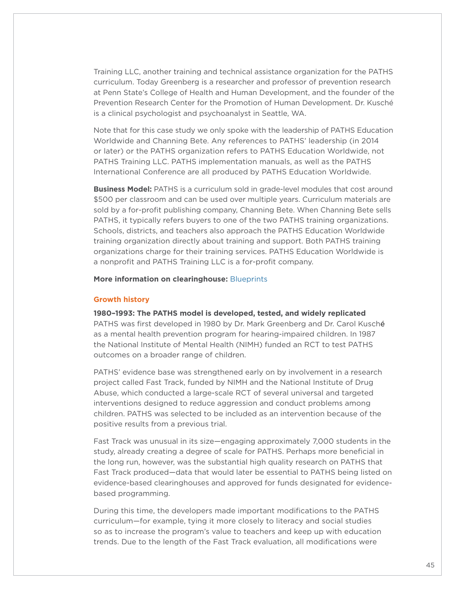Training LLC, another training and technical assistance organization for the PATHS curriculum. Today Greenberg is a researcher and professor of prevention research at Penn State's College of Health and Human Development, and the founder of the Prevention Research Center for the Promotion of Human Development. Dr. Kusché is a clinical psychologist and psychoanalyst in Seattle, WA.

Note that for this case study we only spoke with the leadership of PATHS Education Worldwide and Channing Bete. Any references to PATHS' leadership (in 2014 or later) or the PATHS organization refers to PATHS Education Worldwide, not PATHS Training LLC. PATHS implementation manuals, as well as the PATHS International Conference are all produced by PATHS Education Worldwide.

**Business Model:** PATHS is a curriculum sold in grade-level modules that cost around \$500 per classroom and can be used over multiple years. Curriculum materials are sold by a for-profit publishing company, Channing Bete. When Channing Bete sells PATHS, it typically refers buyers to one of the two PATHS training organizations. Schools, districts, and teachers also approach the PATHS Education Worldwide training organization directly about training and support. Both PATHS training organizations charge for their training services. PATHS Education Worldwide is a nonprofit and PATHS Training LLC is a for-profit company.

**More information on clearinghouse:** [Blueprints](http://www.blueprintsprograms.com/factsheet/promoting-alternative-thinking-strategies-paths)

#### **Growth history**

**1980–1993: The PATHS model is developed, tested, and widely replicated** 

PATHS was first developed in 1980 by Dr. Mark Greenberg and Dr. Carol Kusché as a mental health prevention program for hearing-impaired children. In 1987 the National Institute of Mental Health (NIMH) funded an RCT to test PATHS outcomes on a broader range of children.

PATHS' evidence base was strengthened early on by involvement in a research project called Fast Track, funded by NIMH and the National Institute of Drug Abuse, which conducted a large-scale RCT of several universal and targeted interventions designed to reduce aggression and conduct problems among children. PATHS was selected to be included as an intervention because of the positive results from a previous trial.

Fast Track was unusual in its size—engaging approximately 7,000 students in the study, already creating a degree of scale for PATHS. Perhaps more beneficial in the long run, however, was the substantial high quality research on PATHS that Fast Track produced—data that would later be essential to PATHS being listed on evidence-based clearinghouses and approved for funds designated for evidencebased programming.

During this time, the developers made important modifications to the PATHS curriculum—for example, tying it more closely to literacy and social studies so as to increase the program's value to teachers and keep up with education trends. Due to the length of the Fast Track evaluation, all modifications were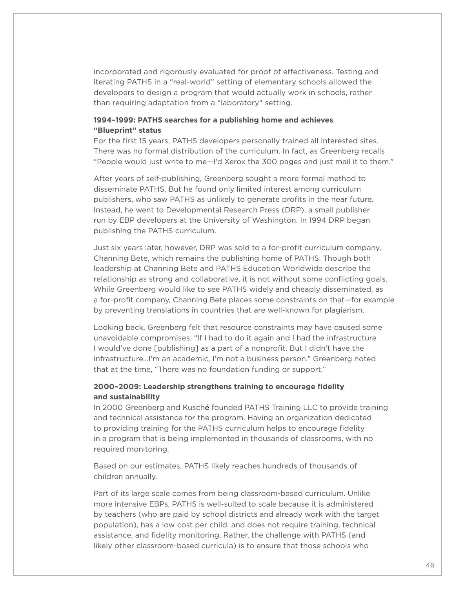incorporated and rigorously evaluated for proof of effectiveness. Testing and iterating PATHS in a "real-world" setting of elementary schools allowed the developers to design a program that would actually work in schools, rather than requiring adaptation from a "laboratory" setting.

#### **1994–1999: PATHS searches for a publishing home and achieves "Blueprint" status**

For the first 15 years, PATHS developers personally trained all interested sites. There was no formal distribution of the curriculum. In fact, as Greenberg recalls "People would just write to me—I'd Xerox the 300 pages and just mail it to them."

After years of self-publishing, Greenberg sought a more formal method to disseminate PATHS. But he found only limited interest among curriculum publishers, who saw PATHS as unlikely to generate profits in the near future. Instead, he went to Developmental Research Press (DRP), a small publisher run by EBP developers at the University of Washington. In 1994 DRP began publishing the PATHS curriculum.

Just six years later, however, DRP was sold to a for-profit curriculum company, Channing Bete, which remains the publishing home of PATHS. Though both leadership at Channing Bete and PATHS Education Worldwide describe the relationship as strong and collaborative, it is not without some conflicting goals. While Greenberg would like to see PATHS widely and cheaply disseminated, as a for-profit company, Channing Bete places some constraints on that—for example by preventing translations in countries that are well-known for plagiarism.

Looking back, Greenberg felt that resource constraints may have caused some unavoidable compromises. "If I had to do it again and I had the infrastructure I would've done [publishing] as a part of a nonprofit. But I didn't have the infrastructure…I'm an academic, I'm not a business person." Greenberg noted that at the time, "There was no foundation funding or support."

#### **2000–2009: Leadership strengthens training to encourage fidelity and sustainability**

In 2000 Greenberg and Kusché founded PATHS Training LLC to provide training and technical assistance for the program. Having an organization dedicated to providing training for the PATHS curriculum helps to encourage fidelity in a program that is being implemented in thousands of classrooms, with no required monitoring.

Based on our estimates, PATHS likely reaches hundreds of thousands of children annually.

Part of its large scale comes from being classroom-based curriculum. Unlike more intensive EBPs, PATHS is well-suited to scale because it is administered by teachers (who are paid by school districts and already work with the target population), has a low cost per child, and does not require training, technical assistance, and fidelity monitoring. Rather, the challenge with PATHS (and likely other classroom-based curricula) is to ensure that those schools who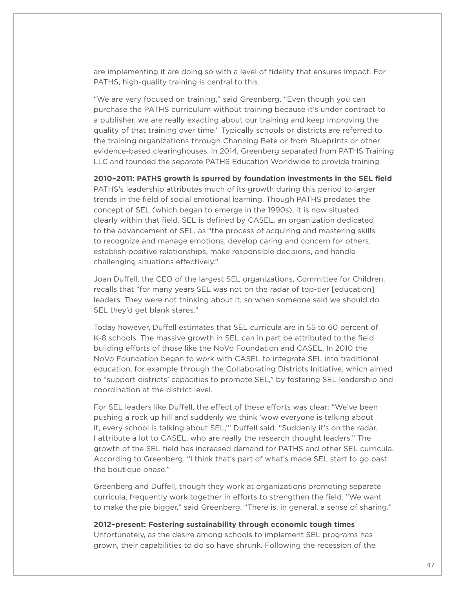are implementing it are doing so with a level of fidelity that ensures impact. For PATHS, high-quality training is central to this.

"We are very focused on training," said Greenberg. "Even though you can purchase the PATHS curriculum without training because it's under contract to a publisher, we are really exacting about our training and keep improving the quality of that training over time." Typically schools or districts are referred to the training organizations through Channing Bete or from Blueprints or other evidence-based clearinghouses. In 2014, Greenberg separated from PATHS Training LLC and founded the separate PATHS Education Worldwide to provide training.

**2010–2011: PATHS growth is spurred by foundation investments in the SEL field** 

PATHS's leadership attributes much of its growth during this period to larger trends in the field of social emotional learning. Though PATHS predates the concept of SEL (which began to emerge in the 1990s), it is now situated clearly within that field. SEL is defined by CASEL, an organization dedicated to the advancement of SEL, as "the process of acquiring and mastering skills to recognize and manage emotions, develop caring and concern for others, establish positive relationships, make responsible decisions, and handle challenging situations effectively."

Joan Duffell, the CEO of the largest SEL organizations, Committee for Children, recalls that "for many years SEL was not on the radar of top-tier [education] leaders. They were not thinking about it, so when someone said we should do SEL they'd get blank stares."

Today however, Duffell estimates that SEL curricula are in 55 to 60 percent of K-8 schools. The massive growth in SEL can in part be attributed to the field building efforts of those like the NoVo Foundation and CASEL. In 2010 the NoVo Foundation began to work with CASEL to integrate SEL into traditional education, for example through the Collaborating Districts Initiative, which aimed to "support districts' capacities to promote SEL," by fostering SEL leadership and coordination at the district level.

For SEL leaders like Duffell, the effect of these efforts was clear: "We've been pushing a rock up hill and suddenly we think 'wow everyone is talking about it, every school is talking about SEL,'" Duffell said. "Suddenly it's on the radar. I attribute a lot to CASEL, who are really the research thought leaders." The growth of the SEL field has increased demand for PATHS and other SEL curricula. According to Greenberg, "I think that's part of what's made SEL start to go past the boutique phase."

Greenberg and Duffell, though they work at organizations promoting separate curricula, frequently work together in efforts to strengthen the field. "We want to make the pie bigger," said Greenberg. "There is, in general, a sense of sharing."

#### **2012–present: Fostering sustainability through economic tough times**

Unfortunately, as the desire among schools to implement SEL programs has grown, their capabilities to do so have shrunk. Following the recession of the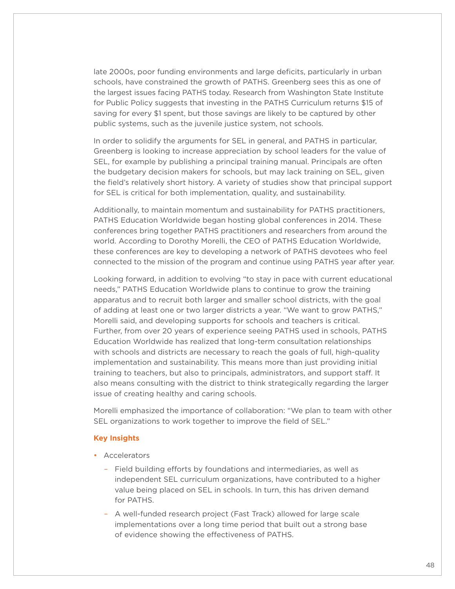late 2000s, poor funding environments and large deficits, particularly in urban schools, have constrained the growth of PATHS. Greenberg sees this as one of the largest issues facing PATHS today. Research from Washington State Institute for Public Policy suggests that investing in the PATHS Curriculum returns \$15 of saving for every \$1 spent, but those savings are likely to be captured by other public systems, such as the juvenile justice system, not schools.

In order to solidify the arguments for SEL in general, and PATHS in particular, Greenberg is looking to increase appreciation by school leaders for the value of SEL, for example by publishing a principal training manual. Principals are often the budgetary decision makers for schools, but may lack training on SEL, given the field's relatively short history. A variety of studies show that principal support for SEL is critical for both implementation, quality, and sustainability.

Additionally, to maintain momentum and sustainability for PATHS practitioners, PATHS Education Worldwide began hosting global conferences in 2014. These conferences bring together PATHS practitioners and researchers from around the world. According to Dorothy Morelli, the CEO of PATHS Education Worldwide, these conferences are key to developing a network of PATHS devotees who feel connected to the mission of the program and continue using PATHS year after year.

Looking forward, in addition to evolving "to stay in pace with current educational needs," PATHS Education Worldwide plans to continue to grow the training apparatus and to recruit both larger and smaller school districts, with the goal of adding at least one or two larger districts a year. "We want to grow PATHS," Morelli said, and developing supports for schools and teachers is critical. Further, from over 20 years of experience seeing PATHS used in schools, PATHS Education Worldwide has realized that long-term consultation relationships with schools and districts are necessary to reach the goals of full, high-quality implementation and sustainability. This means more than just providing initial training to teachers, but also to principals, administrators, and support staff. It also means consulting with the district to think strategically regarding the larger issue of creating healthy and caring schools.

Morelli emphasized the importance of collaboration: "We plan to team with other SEL organizations to work together to improve the field of SEL."

#### **Key Insights**

- Accelerators
	- Field building efforts by foundations and intermediaries, as well as independent SEL curriculum organizations, have contributed to a higher value being placed on SEL in schools. In turn, this has driven demand for PATHS.
	- A well-funded research project (Fast Track) allowed for large scale implementations over a long time period that built out a strong base of evidence showing the effectiveness of PATHS.